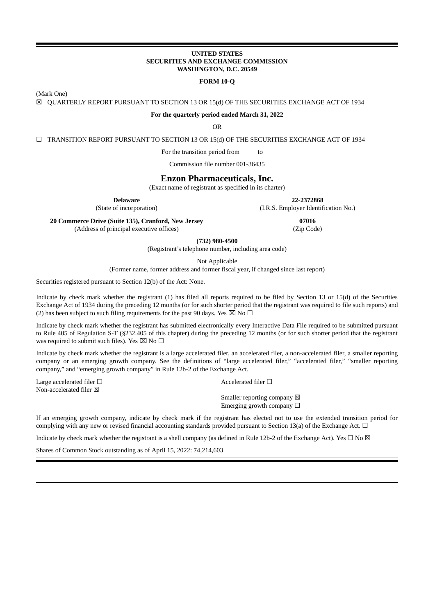## **UNITED STATES SECURITIES AND EXCHANGE COMMISSION WASHINGTON, D.C. 20549**

#### **FORM 10-Q**

(Mark One)

☒ QUARTERLY REPORT PURSUANT TO SECTION 13 OR 15(d) OF THE SECURITIES EXCHANGE ACT OF 1934

#### **For the quarterly period ended March 31, 2022**

OR

☐ TRANSITION REPORT PURSUANT TO SECTION 13 OR 15(d) OF THE SECURITIES EXCHANGE ACT OF 1934

For the transition period from \_\_\_\_\_\_\_ to\_\_\_\_

Commission file number 001-36435

## **Enzon Pharmaceuticals, Inc.**

(Exact name of registrant as specified in its charter)

**Delaware 22-2372868**

(State of incorporation) (I.R.S. Employer Identification No.)

**20 Commerce Drive (Suite 135), Cranford, New Jersey 07016**

(Address of principal executive offices) (Zip Code)

**(732) 980-4500**

(Registrant's telephone number, including area code)

Not Applicable

(Former name, former address and former fiscal year, if changed since last report)

Securities registered pursuant to Section 12(b) of the Act: None.

Indicate by check mark whether the registrant (1) has filed all reports required to be filed by Section 13 or 15(d) of the Securities Exchange Act of 1934 during the preceding 12 months (or for such shorter period that the registrant was required to file such reports) and (2) has been subject to such filing requirements for the past 90 days. Yes  $\boxtimes$  No  $\Box$ 

Indicate by check mark whether the registrant has submitted electronically every Interactive Data File required to be submitted pursuant to Rule 405 of Regulation S-T (§232.405 of this chapter) during the preceding 12 months (or for such shorter period that the registrant was required to submit such files). Yes  $\boxtimes$  No  $\Box$ 

Indicate by check mark whether the registrant is a large accelerated filer, an accelerated filer, a non-accelerated filer, a smaller reporting company or an emerging growth company. See the definitions of "large accelerated filer," "accelerated filer," "smaller reporting company," and "emerging growth company" in Rule 12b-2 of the Exchange Act.

Large accelerated filer □ <br>
Accelerated filer □ <br>
Accelerated filer □ Non-accelerated filer  $\boxtimes$ 

Smaller reporting company  $\boxtimes$ Emerging growth company  $\Box$ 

If an emerging growth company, indicate by check mark if the registrant has elected not to use the extended transition period for complying with any new or revised financial accounting standards provided pursuant to Section 13(a) of the Exchange Act.  $\Box$ 

Indicate by check mark whether the registrant is a shell company (as defined in Rule 12b-2 of the Exchange Act). Yes  $\Box$  No  $\boxtimes$ 

Shares of Common Stock outstanding as of April 15, 2022: 74,214,603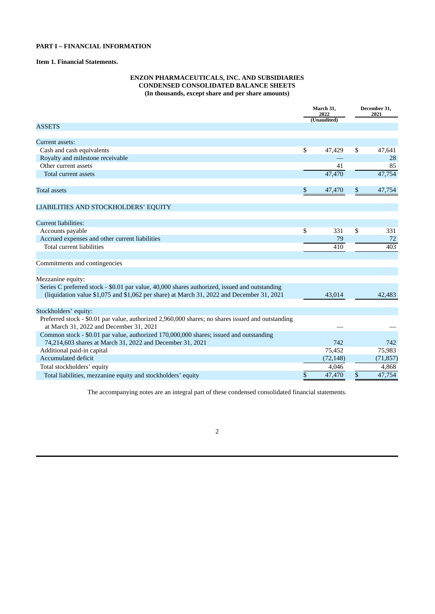## **PART I – FINANCIAL INFORMATION**

## **Item 1. Financial Statements.**

## **ENZON PHARMACEUTICALS, INC. AND SUBSIDIARIES CONDENSED CONSOLIDATED BALANCE SHEETS (In thousands, except share and per share amounts)**

|                                                                                                                                                                                            | March 31,<br>2022<br>(Unaudited) | December 31,<br>2021 |  |
|--------------------------------------------------------------------------------------------------------------------------------------------------------------------------------------------|----------------------------------|----------------------|--|
| <b>ASSETS</b>                                                                                                                                                                              |                                  |                      |  |
| Current assets:                                                                                                                                                                            |                                  |                      |  |
| Cash and cash equivalents                                                                                                                                                                  | \$<br>47,429                     | \$<br>47,641         |  |
| Royalty and milestone receivable                                                                                                                                                           |                                  | 28                   |  |
| Other current assets                                                                                                                                                                       | 41                               | 85                   |  |
| <b>Total current assets</b>                                                                                                                                                                | 47,470                           | 47,754               |  |
| <b>Total assets</b>                                                                                                                                                                        | \$<br>47,470                     | \$<br>47,754         |  |
| LIABILITIES AND STOCKHOLDERS' EQUITY                                                                                                                                                       |                                  |                      |  |
| <b>Current liabilities:</b>                                                                                                                                                                |                                  |                      |  |
| Accounts payable                                                                                                                                                                           | \$<br>331                        | \$<br>331            |  |
| Accrued expenses and other current liabilities                                                                                                                                             | 79                               | 72                   |  |
| <b>Total current liabilities</b>                                                                                                                                                           | 410                              | 403                  |  |
| Commitments and contingencies                                                                                                                                                              |                                  |                      |  |
| Mezzanine equity:                                                                                                                                                                          |                                  |                      |  |
| Series C preferred stock - \$0.01 par value, 40,000 shares authorized, issued and outstanding<br>(liquidation value \$1,075 and \$1,062 per share) at March 31, 2022 and December 31, 2021 | 43,014                           | 42,483               |  |
|                                                                                                                                                                                            |                                  |                      |  |
| Stockholders' equity:                                                                                                                                                                      |                                  |                      |  |
| Preferred stock - \$0.01 par value, authorized 2,960,000 shares; no shares issued and outstanding<br>at March 31, 2022 and December 31, 2021                                               |                                  |                      |  |
| Common stock - \$0.01 par value, authorized 170,000,000 shares; issued and outstanding                                                                                                     |                                  |                      |  |
| 74,214,603 shares at March 31, 2022 and December 31, 2021                                                                                                                                  | 742                              | 742                  |  |
| Additional paid-in capital<br>Accumulated deficit                                                                                                                                          | 75,452<br>(72, 148)              | 75,983<br>(71, 857)  |  |
| Total stockholders' equity                                                                                                                                                                 | 4,046                            | 4,868                |  |
|                                                                                                                                                                                            |                                  |                      |  |
| Total liabilities, mezzanine equity and stockholders' equity                                                                                                                               | \$<br>47,470                     | \$<br>47,754         |  |

The accompanying notes are an integral part of these condensed consolidated financial statements.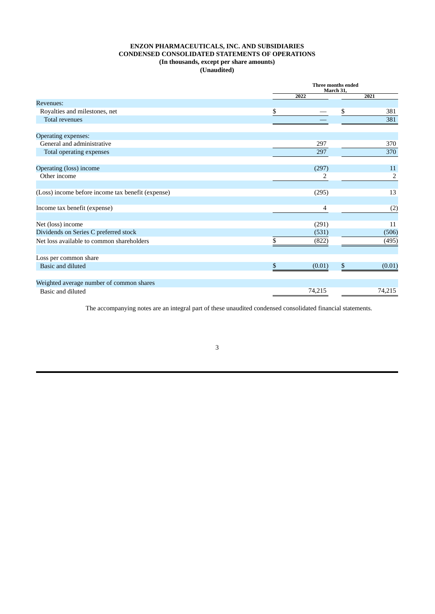## **ENZON PHARMACEUTICALS, INC. AND SUBSIDIARIES CONDENSED CONSOLIDATED STATEMENTS OF OPERATIONS (In thousands, except per share amounts) (Unaudited)**

|                                                   |              | Three months ended<br>March 31, |        |  |  |
|---------------------------------------------------|--------------|---------------------------------|--------|--|--|
|                                                   | 2022         |                                 | 2021   |  |  |
| <b>Revenues:</b>                                  |              |                                 |        |  |  |
| Royalties and milestones, net                     | \$           | \$                              | 381    |  |  |
| Total revenues                                    |              |                                 | 381    |  |  |
| <b>Operating expenses:</b>                        |              |                                 |        |  |  |
| General and administrative                        | 297          |                                 | 370    |  |  |
| Total operating expenses                          | 297          |                                 | 370    |  |  |
| Operating (loss) income                           | (297)        |                                 | 11     |  |  |
| Other income                                      | 2            |                                 | 2      |  |  |
| (Loss) income before income tax benefit (expense) | (295)        |                                 | 13     |  |  |
| Income tax benefit (expense)                      | 4            |                                 | (2)    |  |  |
| Net (loss) income                                 | (291)        |                                 | 11     |  |  |
| Dividends on Series C preferred stock             | (531)        |                                 | (506)  |  |  |
| Net loss available to common shareholders         | (822)        |                                 | (495)  |  |  |
| Loss per common share                             |              |                                 |        |  |  |
| <b>Basic and diluted</b>                          | \$<br>(0.01) | \$                              | (0.01) |  |  |
| Weighted average number of common shares          |              |                                 |        |  |  |
| Basic and diluted                                 | 74,215       |                                 | 74,215 |  |  |

The accompanying notes are an integral part of these unaudited condensed consolidated financial statements.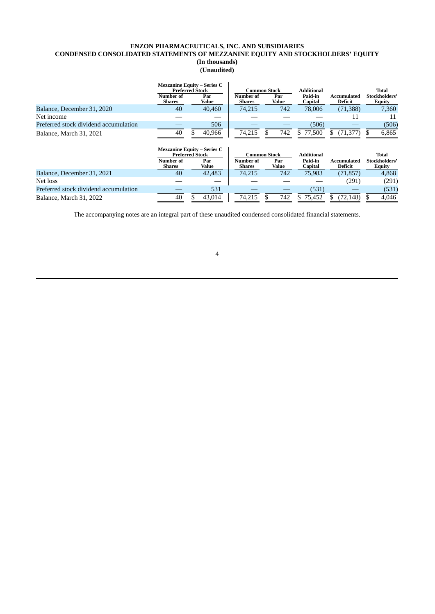## **ENZON PHARMACEUTICALS, INC. AND SUBSIDIARIES CONDENSED CONSOLIDATED STATEMENTS OF MEZZANINE EQUITY AND STOCKHOLDERS' EQUITY (In thousands) (Unaudited)**

|                                       | <b>Mezzanine Equity – Series C</b><br><b>Preferred Stock</b><br>Number of<br><b>Shares</b> | Par<br>Value | Common Stock<br>Number of<br><b>Shares</b> | Par<br>Value | <b>Additional</b><br>Paid-in<br><b>Capital</b> | Accumulated<br>Deficit |   | <b>Total</b><br>Stockholders'<br>Equity |
|---------------------------------------|--------------------------------------------------------------------------------------------|--------------|--------------------------------------------|--------------|------------------------------------------------|------------------------|---|-----------------------------------------|
| Balance, December 31, 2020            | 40                                                                                         | 40,460       | 74,215                                     | 742          | 78,006                                         | (71, 388)              |   | 7,360                                   |
| Net income                            |                                                                                            |              |                                            |              |                                                | 11                     |   | 11                                      |
| Preferred stock dividend accumulation |                                                                                            | 506          |                                            |              | (506)                                          |                        |   | (506)                                   |
| Balance, March 31, 2021               | 40                                                                                         | 40,966       | 74,215                                     | 742          | \$ 77,500                                      | (71, 377)              | S | 6,865                                   |
|                                       | <b>Mezzanine Equity – Series C</b><br><b>Preferred Stock</b>                               |              | <b>Common Stock</b>                        |              | <b>Additional</b>                              |                        |   | <b>Total</b>                            |
|                                       | Number of<br><b>Shares</b>                                                                 | Par<br>Value | <b>Number of</b><br><b>Shares</b>          | Par<br>Value | Paid-in<br>Capital                             | Accumulated<br>Deficit |   | Stockholders'<br>Equity                 |
| Balance, December 31, 2021            | 40                                                                                         | 42,483       | 74.215                                     | 742          | 75,983                                         | (71, 857)              |   | 4.868                                   |
| Net loss                              |                                                                                            |              |                                            |              |                                                | (291)                  |   | (291)                                   |
| Preferred stock dividend accumulation |                                                                                            | 531          |                                            |              | (531)                                          |                        |   | (531)                                   |
| Balance, March 31, 2022               | 40                                                                                         | 43,014       | 74,215                                     | 742          | \$75,452                                       | (72, 148)              |   | 4,046                                   |

The accompanying notes are an integral part of these unaudited condensed consolidated financial statements.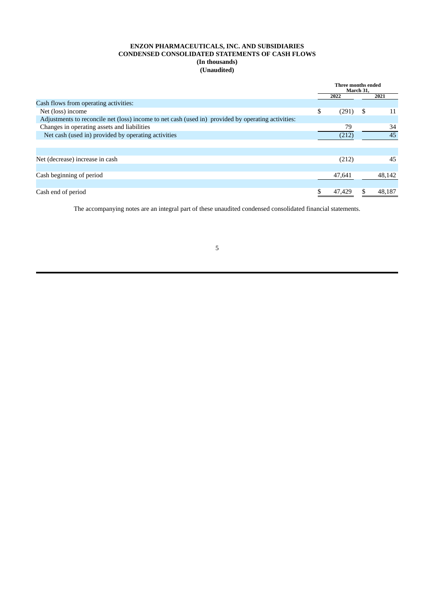## **ENZON PHARMACEUTICALS, INC. AND SUBSIDIARIES CONDENSED CONSOLIDATED STATEMENTS OF CASH FLOWS (In thousands) (Unaudited)**

|                                                                                                    | Three months ended<br>March 31, |   |        |
|----------------------------------------------------------------------------------------------------|---------------------------------|---|--------|
|                                                                                                    | 2022                            |   | 2021   |
| Cash flows from operating activities:                                                              |                                 |   |        |
| Net (loss) income                                                                                  | \$<br>(291)                     | S | 11     |
| Adjustments to reconcile net (loss) income to net cash (used in) provided by operating activities: |                                 |   |        |
| Changes in operating assets and liabilities                                                        | 79                              |   | 34     |
| Net cash (used in) provided by operating activities                                                | (212)                           |   | 45     |
|                                                                                                    |                                 |   |        |
|                                                                                                    |                                 |   |        |
| Net (decrease) increase in cash                                                                    | (212)                           |   | 45     |
|                                                                                                    |                                 |   |        |
| Cash beginning of period                                                                           | 47,641                          |   | 48,142 |
|                                                                                                    |                                 |   |        |
| Cash end of period                                                                                 | 47,429                          |   | 48,187 |

The accompanying notes are an integral part of these unaudited condensed consolidated financial statements.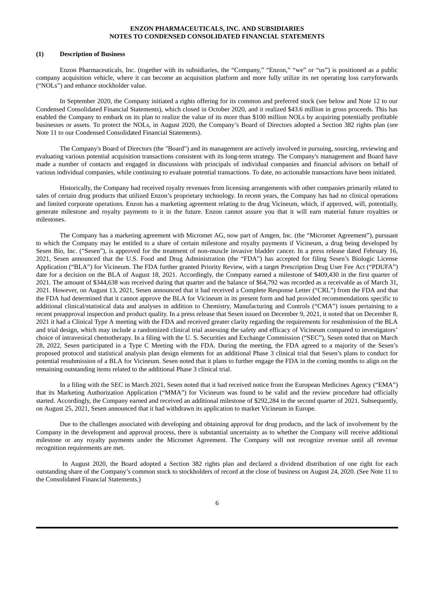### **(1) Description of Business**

Enzon Pharmaceuticals, Inc. (together with its subsidiaries, the "Company," "Enzon," "we" or "us") is positioned as a public company acquisition vehicle, where it can become an acquisition platform and more fully utilize its net operating loss carryforwards ("NOLs") and enhance stockholder value.

In September 2020, the Company initiated a rights offering for its common and preferred stock (see below and Note 12 to our Condensed Consolidated Financial Statements), which closed in October 2020, and it realized \$43.6 million in gross proceeds. This has enabled the Company to embark on its plan to realize the value of its more than \$100 million NOLs by acquiring potentially profitable businesses or assets. To protect the NOLs, in August 2020, the Company's Board of Directors adopted a Section 382 rights plan (see Note 11 to our Condensed Consolidated Financial Statements).

The Company's Board of Directors (the "Board") and its management are actively involved in pursuing, sourcing, reviewing and evaluating various potential acquisition transactions consistent with its long-term strategy. The Company's management and Board have made a number of contacts and engaged in discussions with principals of individual companies and financial advisors on behalf of various individual companies, while continuing to evaluate potential transactions. To date, no actionable transactions have been initiated.

Historically, the Company had received royalty revenues from licensing arrangements with other companies primarily related to sales of certain drug products that utilized Enzon's proprietary technology. In recent years, the Company has had no clinical operations and limited corporate operations. Enzon has a marketing agreement relating to the drug Vicineum, which, if approved, will, potentially, generate milestone and royalty payments to it in the future. Enzon cannot assure you that it will earn material future royalties or milestones.

The Company has a marketing agreement with Micromet AG, now part of Amgen, Inc. (the "Micromet Agreement"), pursuant to which the Company may be entitled to a share of certain milestone and royalty payments if Vicineum, a drug being developed by Sesen Bio, Inc. ("Sesen"), is approved for the treatment of non-muscle invasive bladder cancer. In a press release dated February 16, 2021, Sesen announced that the U.S. Food and Drug Administration (the "FDA") has accepted for filing Sesen's Biologic License Application ("BLA") for Vicineum. The FDA further granted Priority Review, with a target Prescription Drug User Fee Act ("PDUFA") date for a decision on the BLA of August 18, 2021. Accordingly, the Company earned a milestone of \$409,430 in the first quarter of 2021. The amount of \$344,638 was received during that quarter and the balance of \$64,792 was recorded as a receivable as of March 31, 2021. However, on August 13, 2021, Sesen announced that it had received a Complete Response Letter ("CRL") from the FDA and that the FDA had determined that it cannot approve the BLA for Vicineum in its present form and had provided recommendations specific to additional clinical/statistical data and analyses in addition to Chemistry, Manufacturing and Controls ("CMA") issues pertaining to a recent preapproval inspection and product quality. In a press release that Sesen issued on December 9, 2021, it noted that on December 8, 2021 it had a Clinical Type A meeting with the FDA and received greater clarity regarding the requirements for resubmission of the BLA and trial design, which may include a randomized clinical trial assessing the safety and efficacy of Vicineum compared to investigators' choice of intravesical chemotherapy. In a filing with the U. S. Securities and Exchange Commission ("SEC"), Sesen noted that on March 28, 2022, Sesen participated in a Type C Meeting with the FDA. During the meeting, the FDA agreed to a majority of the Sesen's proposed protocol and statistical analysis plan design elements for an additional Phase 3 clinical trial that Sesen's plans to conduct for potential resubmission of a BLA for Vicineum. Sesen noted that it plans to further engage the FDA in the coming months to align on the remaining outstanding items related to the additional Phase 3 clinical trial.

In a filing with the SEC in March 2021, Sesen noted that it had received notice from the European Medicines Agency ("EMA") that its Marketing Authorization Application ("MMA") for Vicineum was found to be valid and the review procedure had officially started. Accordingly, the Company earned and received an additional milestone of \$292,284 in the second quarter of 2021. Subsequently, on August 25, 2021, Sesen announced that it had withdrawn its application to market Vicineum in Europe.

Due to the challenges associated with developing and obtaining approval for drug products, and the lack of involvement by the Company in the development and approval process, there is substantial uncertainty as to whether the Company will receive additional milestone or any royalty payments under the Micromet Agreement. The Company will not recognize revenue until all revenue recognition requirements are met.

In August 2020, the Board adopted a Section 382 rights plan and declared a dividend distribution of one right for each outstanding share of the Company's common stock to stockholders of record at the close of business on August 24, 2020. (See Note 11 to the Consolidated Financial Statements.)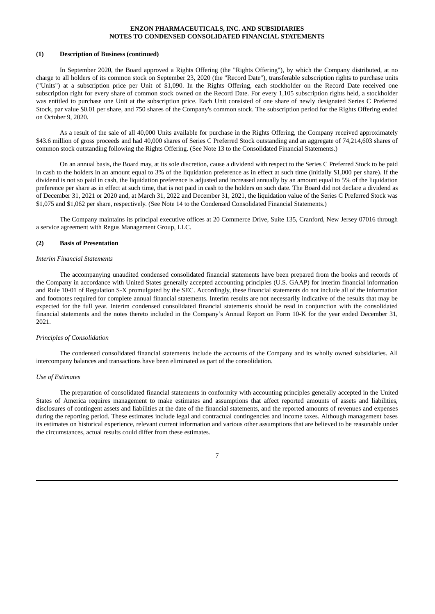### **(1) Description of Business (continued)**

In September 2020, the Board approved a Rights Offering (the "Rights Offering"), by which the Company distributed, at no charge to all holders of its common stock on September 23, 2020 (the "Record Date"), transferable subscription rights to purchase units ("Units") at a subscription price per Unit of \$1,090. In the Rights Offering, each stockholder on the Record Date received one subscription right for every share of common stock owned on the Record Date. For every 1,105 subscription rights held, a stockholder was entitled to purchase one Unit at the subscription price. Each Unit consisted of one share of newly designated Series C Preferred Stock, par value \$0.01 per share, and 750 shares of the Company's common stock. The subscription period for the Rights Offering ended on October 9, 2020.

As a result of the sale of all 40,000 Units available for purchase in the Rights Offering, the Company received approximately \$43.6 million of gross proceeds and had 40,000 shares of Series C Preferred Stock outstanding and an aggregate of 74,214,603 shares of common stock outstanding following the Rights Offering. (See Note 13 to the Consolidated Financial Statements.)

On an annual basis, the Board may, at its sole discretion, cause a dividend with respect to the Series C Preferred Stock to be paid in cash to the holders in an amount equal to 3% of the liquidation preference as in effect at such time (initially \$1,000 per share). If the dividend is not so paid in cash, the liquidation preference is adjusted and increased annually by an amount equal to 5% of the liquidation preference per share as in effect at such time, that is not paid in cash to the holders on such date. The Board did not declare a dividend as of December 31, 2021 or 2020 and, at March 31, 2022 and December 31, 2021, the liquidation value of the Series C Preferred Stock was \$1,075 and \$1,062 per share, respectively. (See Note 14 to the Condensed Consolidated Financial Statements.)

The Company maintains its principal executive offices at 20 Commerce Drive, Suite 135, Cranford, New Jersey 07016 through a service agreement with Regus Management Group, LLC.

### **(2) Basis of Presentation**

#### *Interim Financial Statements*

The accompanying unaudited condensed consolidated financial statements have been prepared from the books and records of the Company in accordance with United States generally accepted accounting principles (U.S. GAAP) for interim financial information and Rule 10-01 of Regulation S-X promulgated by the SEC. Accordingly, these financial statements do not include all of the information and footnotes required for complete annual financial statements. Interim results are not necessarily indicative of the results that may be expected for the full year. Interim condensed consolidated financial statements should be read in conjunction with the consolidated financial statements and the notes thereto included in the Company's Annual Report on Form 10-K for the year ended December 31, 2021.

#### *Principles of Consolidation*

The condensed consolidated financial statements include the accounts of the Company and its wholly owned subsidiaries. All intercompany balances and transactions have been eliminated as part of the consolidation.

#### *Use of Estimates*

The preparation of consolidated financial statements in conformity with accounting principles generally accepted in the United States of America requires management to make estimates and assumptions that affect reported amounts of assets and liabilities, disclosures of contingent assets and liabilities at the date of the financial statements, and the reported amounts of revenues and expenses during the reporting period. These estimates include legal and contractual contingencies and income taxes. Although management bases its estimates on historical experience, relevant current information and various other assumptions that are believed to be reasonable under the circumstances, actual results could differ from these estimates.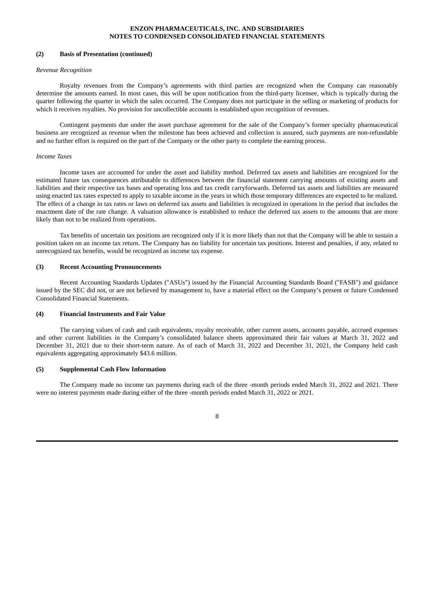#### **(2) Basis of Presentation (continued)**

### *Revenue Recognition*

Royalty revenues from the Company's agreements with third parties are recognized when the Company can reasonably determine the amounts earned. In most cases, this will be upon notification from the third-party licensee, which is typically during the quarter following the quarter in which the sales occurred. The Company does not participate in the selling or marketing of products for which it receives royalties. No provision for uncollectible accounts is established upon recognition of revenues.

Contingent payments due under the asset purchase agreement for the sale of the Company's former specialty pharmaceutical business are recognized as revenue when the milestone has been achieved and collection is assured, such payments are non-refundable and no further effort is required on the part of the Company or the other party to complete the earning process.

### *Income Taxes*

Income taxes are accounted for under the asset and liability method. Deferred tax assets and liabilities are recognized for the estimated future tax consequences attributable to differences between the financial statement carrying amounts of existing assets and liabilities and their respective tax bases and operating loss and tax credit carryforwards. Deferred tax assets and liabilities are measured using enacted tax rates expected to apply to taxable income in the years in which those temporary differences are expected to be realized. The effect of a change in tax rates or laws on deferred tax assets and liabilities is recognized in operations in the period that includes the enactment date of the rate change. A valuation allowance is established to reduce the deferred tax assets to the amounts that are more likely than not to be realized from operations.

Tax benefits of uncertain tax positions are recognized only if it is more likely than not that the Company will be able to sustain a position taken on an income tax return. The Company has no liability for uncertain tax positions. Interest and penalties, if any, related to unrecognized tax benefits, would be recognized as income tax expense.

### **(3) Recent Accounting Pronouncements**

Recent Accounting Standards Updates ("ASUs") issued by the Financial Accounting Standards Board ("FASB") and guidance issued by the SEC did not, or are not believed by management to, have a material effect on the Company's present or future Condensed Consolidated Financial Statements.

#### **(4) Financial Instruments and Fair Value**

The carrying values of cash and cash equivalents, royalty receivable, other current assets, accounts payable, accrued expenses and other current liabilities in the Company's consolidated balance sheets approximated their fair values at March 31, 2022 and December 31, 2021 due to their short-term nature. As of each of March 31, 2022 and December 31, 2021, the Company held cash equivalents aggregating approximately \$43.6 million.

## **(5) Supplemental Cash Flow Information**

The Company made no income tax payments during each of the three -month periods ended March 31, 2022 and 2021. There were no interest payments made during either of the three -month periods ended March 31, 2022 or 2021.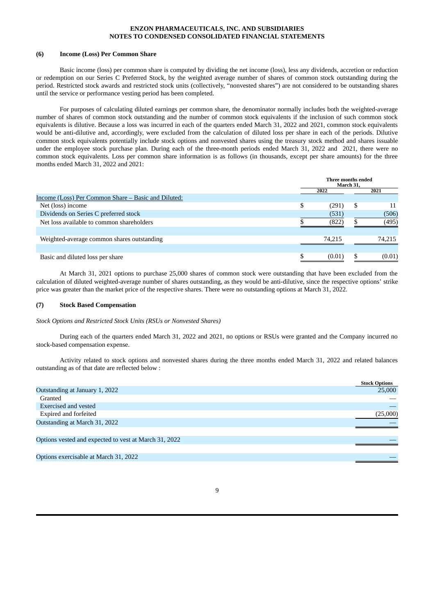### **(6) Income (Loss) Per Common Share**

Basic income (loss) per common share is computed by dividing the net income (loss), less any dividends, accretion or reduction or redemption on our Series C Preferred Stock, by the weighted average number of shares of common stock outstanding during the period. Restricted stock awards and restricted stock units (collectively, "nonvested shares") are not considered to be outstanding shares until the service or performance vesting period has been completed.

For purposes of calculating diluted earnings per common share, the denominator normally includes both the weighted-average number of shares of common stock outstanding and the number of common stock equivalents if the inclusion of such common stock equivalents is dilutive. Because a loss was incurred in each of the quarters ended March 31, 2022 and 2021, common stock equivalents would be anti-dilutive and, accordingly, were excluded from the calculation of diluted loss per share in each of the periods. Dilutive common stock equivalents potentially include stock options and nonvested shares using the treasury stock method and shares issuable under the employee stock purchase plan. During each of the three-month periods ended March 31, 2022 and 2021, there were no common stock equivalents. Loss per common share information is as follows (in thousands, except per share amounts) for the three months ended March 31, 2022 and 2021:

|                                                     | Three months ended<br>March 31. |        |    |        |
|-----------------------------------------------------|---------------------------------|--------|----|--------|
|                                                     |                                 | 2022   |    | 2021   |
| Income (Loss) Per Common Share – Basic and Diluted: |                                 |        |    |        |
| Net (loss) income                                   | \$                              | (291)  | \$ | 11     |
| Dividends on Series C preferred stock               |                                 | (531)  |    | (506)  |
| Net loss available to common shareholders           |                                 | (822)  |    | (495)  |
|                                                     |                                 |        |    |        |
| Weighted-average common shares outstanding          |                                 | 74.215 |    | 74,215 |
|                                                     |                                 |        |    |        |
| Basic and diluted loss per share                    | S.                              | (0.01) | \$ | (0.01) |

At March 31, 2021 options to purchase 25,000 shares of common stock were outstanding that have been excluded from the calculation of diluted weighted-average number of shares outstanding, as they would be anti-dilutive, since the respective options' strike price was greater than the market price of the respective shares. There were no outstanding options at March 31, 2022.

### **(7) Stock Based Compensation**

*Stock Options and Restricted Stock Units (RSUs or Nonvested Shares)*

During each of the quarters ended March 31, 2022 and 2021, no options or RSUs were granted and the Company incurred no stock-based compensation expense.

Activity related to stock options and nonvested shares during the three months ended March 31, 2022 and related balances outstanding as of that date are reflected below :

|                                                       | <b>Stock Options</b> |
|-------------------------------------------------------|----------------------|
| Outstanding at January 1, 2022                        | 25,000               |
| Granted                                               |                      |
| Exercised and vested                                  |                      |
| Expired and forfeited                                 | (25,000)             |
| Outstanding at March 31, 2022                         |                      |
|                                                       |                      |
| Options vested and expected to vest at March 31, 2022 |                      |
|                                                       |                      |
| Options exercisable at March 31, 2022                 |                      |
|                                                       |                      |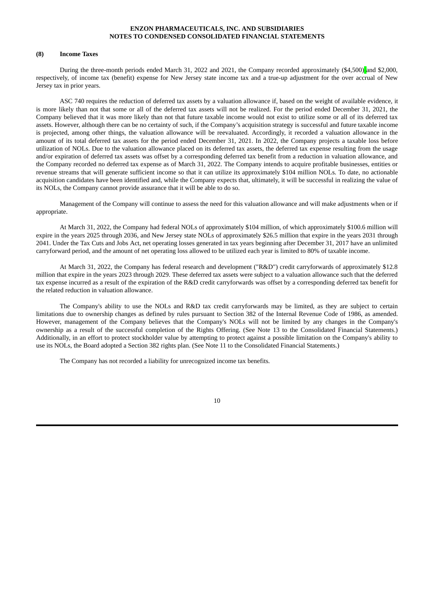### **(8) Income Taxes**

During the three-month periods ended March 31, 2022 and 2021, the Company recorded approximately (\$4,500) and \$2,000, respectively, of income tax (benefit) expense for New Jersey state income tax and a true-up adjustment for the over accrual of New Jersey tax in prior years.

ASC 740 requires the reduction of deferred tax assets by a valuation allowance if, based on the weight of available evidence, it is more likely than not that some or all of the deferred tax assets will not be realized. For the period ended December 31, 2021, the Company believed that it was more likely than not that future taxable income would not exist to utilize some or all of its deferred tax assets. However, although there can be no certainty of such, if the Company's acquisition strategy is successful and future taxable income is projected, among other things, the valuation allowance will be reevaluated. Accordingly, it recorded a valuation allowance in the amount of its total deferred tax assets for the period ended December 31, 2021. In 2022, the Company projects a taxable loss before utilization of NOLs. Due to the valuation allowance placed on its deferred tax assets, the deferred tax expense resulting from the usage and/or expiration of deferred tax assets was offset by a corresponding deferred tax benefit from a reduction in valuation allowance, and the Company recorded no deferred tax expense as of March 31, 2022. The Company intends to acquire profitable businesses, entities or revenue streams that will generate sufficient income so that it can utilize its approximately \$104 million NOLs. To date, no actionable acquisition candidates have been identified and, while the Company expects that, ultimately, it will be successful in realizing the value of its NOLs, the Company cannot provide assurance that it will be able to do so.

Management of the Company will continue to assess the need for this valuation allowance and will make adjustments when or if appropriate.

At March 31, 2022, the Company had federal NOLs of approximately \$104 million, of which approximately \$100.6 million will expire in the years 2025 through 2036, and New Jersey state NOLs of approximately \$26.5 million that expire in the years 2031 through 2041. Under the Tax Cuts and Jobs Act, net operating losses generated in tax years beginning after December 31, 2017 have an unlimited carryforward period, and the amount of net operating loss allowed to be utilized each year is limited to 80% of taxable income.

At March 31, 2022, the Company has federal research and development ("R&D") credit carryforwards of approximately \$12.8 million that expire in the years 2023 through 2029. These deferred tax assets were subject to a valuation allowance such that the deferred tax expense incurred as a result of the expiration of the R&D credit carryforwards was offset by a corresponding deferred tax benefit for the related reduction in valuation allowance.

The Company's ability to use the NOLs and R&D tax credit carryforwards may be limited, as they are subject to certain limitations due to ownership changes as defined by rules pursuant to Section 382 of the Internal Revenue Code of 1986, as amended. However, management of the Company believes that the Company's NOLs will not be limited by any changes in the Company's ownership as a result of the successful completion of the Rights Offering. (See Note 13 to the Consolidated Financial Statements.) Additionally, in an effort to protect stockholder value by attempting to protect against a possible limitation on the Company's ability to use its NOLs, the Board adopted a Section 382 rights plan. (See Note 11 to the Consolidated Financial Statements.)

The Company has not recorded a liability for unrecognized income tax benefits.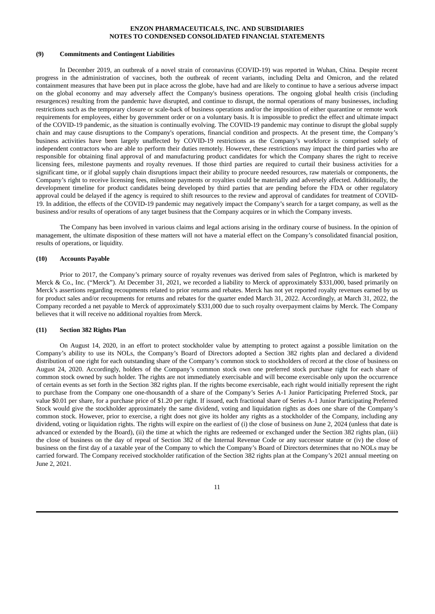### **(9) Commitments and Contingent Liabilities**

In December 2019, an outbreak of a novel strain of coronavirus (COVID-19) was reported in Wuhan, China. Despite recent progress in the administration of vaccines, both the outbreak of recent variants, including Delta and Omicron, and the related containment measures that have been put in place across the globe, have had and are likely to continue to have a serious adverse impact on the global economy and may adversely affect the Company's business operations. The ongoing global health crisis (including resurgences) resulting from the pandemic have disrupted, and continue to disrupt, the normal operations of many businesses, including restrictions such as the temporary closure or scale-back of business operations and/or the imposition of either quarantine or remote work requirements for employees, either by government order or on a voluntary basis. It is impossible to predict the effect and ultimate impact of the COVID-19 pandemic, as the situation is continually evolving. The COVID-19 pandemic may continue to disrupt the global supply chain and may cause disruptions to the Company's operations, financial condition and prospects. At the present time, the Company's business activities have been largely unaffected by COVID-19 restrictions as the Company's workforce is comprised solely of independent contractors who are able to perform their duties remotely. However, these restrictions may impact the third parties who are responsible for obtaining final approval of and manufacturing product candidates for which the Company shares the right to receive licensing fees, milestone payments and royalty revenues. If those third parties are required to curtail their business activities for a significant time, or if global supply chain disruptions impact their ability to procure needed resources, raw materials or components, the Company's right to receive licensing fees, milestone payments or royalties could be materially and adversely affected. Additionally, the development timeline for product candidates being developed by third parties that are pending before the FDA or other regulatory approval could be delayed if the agency is required to shift resources to the review and approval of candidates for treatment of COVID-19. In addition, the effects of the COVID-19 pandemic may negatively impact the Company's search for a target company, as well as the business and/or results of operations of any target business that the Company acquires or in which the Company invests.

The Company has been involved in various claims and legal actions arising in the ordinary course of business. In the opinion of management, the ultimate disposition of these matters will not have a material effect on the Company's consolidated financial position, results of operations, or liquidity.

### **(10) Accounts Payable**

Prior to 2017, the Company's primary source of royalty revenues was derived from sales of PegIntron, which is marketed by Merck & Co., Inc. ("Merck"). At December 31, 2021, we recorded a liability to Merck of approximately \$331,000, based primarily on Merck's assertions regarding recoupments related to prior returns and rebates. Merck has not yet reported royalty revenues earned by us for product sales and/or recoupments for returns and rebates for the quarter ended March 31, 2022. Accordingly, at March 31, 2022, the Company recorded a net payable to Merck of approximately \$331,000 due to such royalty overpayment claims by Merck. The Company believes that it will receive no additional royalties from Merck.

#### **(11) Section 382 Rights Plan**

On August 14, 2020, in an effort to protect stockholder value by attempting to protect against a possible limitation on the Company's ability to use its NOLs, the Company's Board of Directors adopted a Section 382 rights plan and declared a dividend distribution of one right for each outstanding share of the Company's common stock to stockholders of record at the close of business on August 24, 2020. Accordingly, holders of the Company's common stock own one preferred stock purchase right for each share of common stock owned by such holder. The rights are not immediately exercisable and will become exercisable only upon the occurrence of certain events as set forth in the Section 382 rights plan. If the rights become exercisable, each right would initially represent the right to purchase from the Company one one-thousandth of a share of the Company's Series A-1 Junior Participating Preferred Stock, par value \$0.01 per share, for a purchase price of \$1.20 per right. If issued, each fractional share of Series A-1 Junior Participating Preferred Stock would give the stockholder approximately the same dividend, voting and liquidation rights as does one share of the Company's common stock. However, prior to exercise, a right does not give its holder any rights as a stockholder of the Company, including any dividend, voting or liquidation rights. The rights will expire on the earliest of (i) the close of business on June 2, 2024 (unless that date is advanced or extended by the Board), (ii) the time at which the rights are redeemed or exchanged under the Section 382 rights plan, (iii) the close of business on the day of repeal of Section 382 of the Internal Revenue Code or any successor statute or (iv) the close of business on the first day of a taxable year of the Company to which the Company's Board of Directors determines that no NOLs may be carried forward. The Company received stockholder ratification of the Section 382 rights plan at the Company's 2021 annual meeting on June 2, 2021.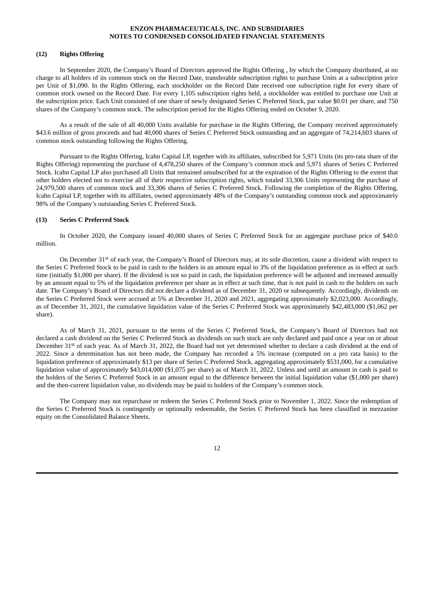### **(12) Rights Offering**

In September 2020, the Company's Board of Directors approved the Rights Offering , by which the Company distributed, at no charge to all holders of its common stock on the Record Date, transferable subscription rights to purchase Units at a subscription price per Unit of \$1,090. In the Rights Offering, each stockholder on the Record Date received one subscription right for every share of common stock owned on the Record Date. For every 1,105 subscription rights held, a stockholder was entitled to purchase one Unit at the subscription price. Each Unit consisted of one share of newly designated Series C Preferred Stock, par value \$0.01 per share, and 750 shares of the Company's common stock. The subscription period for the Rights Offering ended on October 9, 2020.

As a result of the sale of all 40,000 Units available for purchase in the Rights Offering, the Company received approximately \$43.6 million of gross proceeds and had 40,000 shares of Series C Preferred Stock outstanding and an aggregate of 74,214,603 shares of common stock outstanding following the Rights Offering.

Pursuant to the Rights Offering, Icahn Capital LP, together with its affiliates, subscribed for 5,971 Units (its pro-rata share of the Rights Offering) representing the purchase of 4,478,250 shares of the Company's common stock and 5,971 shares of Series C Preferred Stock. Icahn Capital LP also purchased all Units that remained unsubscribed for at the expiration of the Rights Offering to the extent that other holders elected not to exercise all of their respective subscription rights, which totaled 33,306 Units representing the purchase of 24,979,500 shares of common stock and 33,306 shares of Series C Preferred Stock. Following the completion of the Rights Offering, Icahn Capital LP, together with its affiliates, owned approximately 48% of the Company's outstanding common stock and approximately 98% of the Company's outstanding Series C Preferred Stock.

## **(13) Series C Preferred Stock**

In October 2020, the Company issued 40,000 shares of Series C Preferred Stock for an aggregate purchase price of \$40.0 million.

On December 31<sup>st</sup> of each year, the Company's Board of Directors may, at its sole discretion, cause a dividend with respect to the Series C Preferred Stock to be paid in cash to the holders in an amount equal to 3% of the liquidation preference as in effect at such time (initially \$1,000 per share). If the dividend is not so paid in cash, the liquidation preference will be adjusted and increased annually by an amount equal to 5% of the liquidation preference per share as in effect at such time, that is not paid in cash to the holders on such date. The Company's Board of Directors did not declare a dividend as of December 31, 2020 or subsequently. Accordingly, dividends on the Series C Preferred Stock were accrued at 5% at December 31, 2020 and 2021, aggregating approximately \$2,023,000. Accordingly, as of December 31, 2021, the cumulative liquidation value of the Series C Preferred Stock was approximately \$42,483,000 (\$1,062 per share).

As of March 31, 2021, pursuant to the terms of the Series C Preferred Stock, the Company's Board of Directors had not declared a cash dividend on the Series C Preferred Stock as dividends on such stock are only declared and paid once a year on or about December 31<sup>st</sup> of each year. As of March 31, 2022, the Board had not yet determined whether to declare a cash dividend at the end of 2022. Since a determination has not been made, the Company has recorded a 5% increase (computed on a pro rata basis) to the liquidation preference of approximately \$13 per share of Series C Preferred Stock, aggregating approximately \$531,000, for a cumulative liquidation value of approximately \$43,014,000 (\$1,075 per share) as of March 31, 2022. Unless and until an amount in cash is paid to the holders of the Series C Preferred Stock in an amount equal to the difference between the initial liquidation value (\$1,000 per share) and the then-current liquidation value, no dividends may be paid to holders of the Company's common stock.

The Company may not repurchase or redeem the Series C Preferred Stock prior to November 1, 2022. Since the redemption of the Series C Preferred Stock is contingently or optionally redeemable, the Series C Preferred Stock has been classified in mezzanine equity on the Consolidated Balance Sheets.

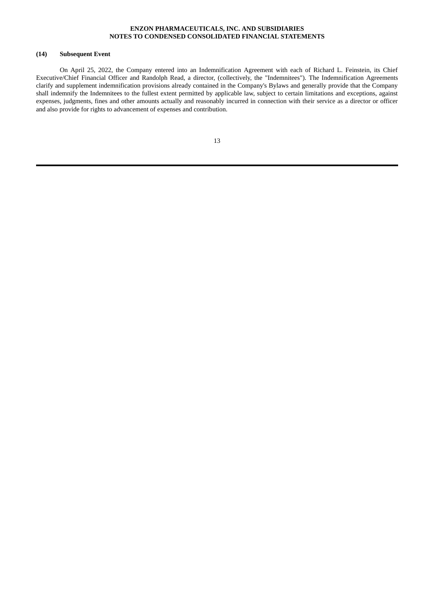## **(14) Subsequent Event**

On April 25, 2022, the Company entered into an Indemnification Agreement with each of Richard L. Feinstein, its Chief Executive/Chief Financial Officer and Randolph Read, a director, (collectively, the "Indemnitees"). The Indemnification Agreements clarify and supplement indemnification provisions already contained in the Company's Bylaws and generally provide that the Company shall indemnify the Indemnitees to the fullest extent permitted by applicable law, subject to certain limitations and exceptions, against expenses, judgments, fines and other amounts actually and reasonably incurred in connection with their service as a director or officer and also provide for rights to advancement of expenses and contribution.

| ш | I      |
|---|--------|
|   | ×<br>٠ |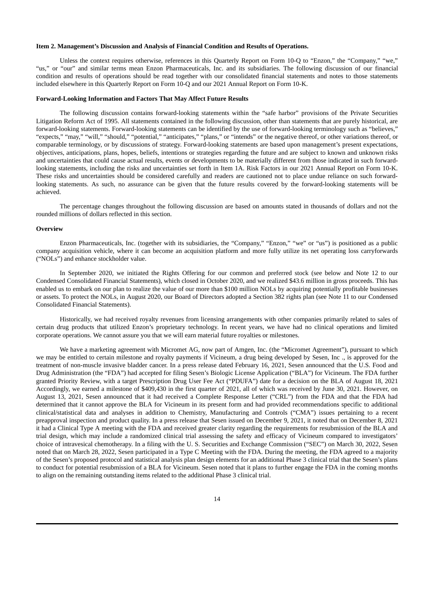### **Item 2. Management's Discussion and Analysis of Financial Condition and Results of Operations.**

Unless the context requires otherwise, references in this Quarterly Report on Form 10-Q to "Enzon," the "Company," "we," "us," or "our" and similar terms mean Enzon Pharmaceuticals, Inc. and its subsidiaries. The following discussion of our financial condition and results of operations should be read together with our consolidated financial statements and notes to those statements included elsewhere in this Quarterly Report on Form 10-Q and our 2021 Annual Report on Form 10-K.

#### **Forward-Looking Information and Factors That May Affect Future Results**

The following discussion contains forward-looking statements within the "safe harbor" provisions of the Private Securities Litigation Reform Act of 1995. All statements contained in the following discussion, other than statements that are purely historical, are forward-looking statements. Forward-looking statements can be identified by the use of forward-looking terminology such as "believes," "expects," "may," "will," "should," "potential," "anticipates," "plans," or "intends" or the negative thereof, or other variations thereof, or comparable terminology, or by discussions of strategy. Forward-looking statements are based upon management's present expectations, objectives, anticipations, plans, hopes, beliefs, intentions or strategies regarding the future and are subject to known and unknown risks and uncertainties that could cause actual results, events or developments to be materially different from those indicated in such forwardlooking statements, including the risks and uncertainties set forth in Item 1A. Risk Factors in our 2021 Annual Report on Form 10-K. These risks and uncertainties should be considered carefully and readers are cautioned not to place undue reliance on such forwardlooking statements. As such, no assurance can be given that the future results covered by the forward-looking statements will be achieved.

The percentage changes throughout the following discussion are based on amounts stated in thousands of dollars and not the rounded millions of dollars reflected in this section.

#### **Overview**

Enzon Pharmaceuticals, Inc. (together with its subsidiaries, the "Company," "Enzon," "we" or "us") is positioned as a public company acquisition vehicle, where it can become an acquisition platform and more fully utilize its net operating loss carryforwards ("NOLs") and enhance stockholder value.

In September 2020, we initiated the Rights Offering for our common and preferred stock (see below and Note 12 to our Condensed Consolidated Financial Statements), which closed in October 2020, and we realized \$43.6 million in gross proceeds. This has enabled us to embark on our plan to realize the value of our more than \$100 million NOLs by acquiring potentially profitable businesses or assets. To protect the NOLs, in August 2020, our Board of Directors adopted a Section 382 rights plan (see Note 11 to our Condensed Consolidated Financial Statements).

Historically, we had received royalty revenues from licensing arrangements with other companies primarily related to sales of certain drug products that utilized Enzon's proprietary technology. In recent years, we have had no clinical operations and limited corporate operations. We cannot assure you that we will earn material future royalties or milestones.

We have a marketing agreement with Micromet AG, now part of Amgen, Inc. (the "Micromet Agreement"), pursuant to which we may be entitled to certain milestone and royalty payments if Vicineum, a drug being developed by Sesen, Inc ., is approved for the treatment of non-muscle invasive bladder cancer. In a press release dated February 16, 2021, Sesen announced that the U.S. Food and Drug Administration (the "FDA") had accepted for filing Sesen's Biologic License Application ("BLA") for Vicineum. The FDA further granted Priority Review, with a target Prescription Drug User Fee Act ("PDUFA") date for a decision on the BLA of August 18, 2021 Accordingly, we earned a milestone of \$409,430 in the first quarter of 2021, all of which was received by June 30, 2021. However, on August 13, 2021, Sesen announced that it had received a Complete Response Letter ("CRL") from the FDA and that the FDA had determined that it cannot approve the BLA for Vicineum in its present form and had provided recommendations specific to additional clinical/statistical data and analyses in addition to Chemistry, Manufacturing and Controls ("CMA") issues pertaining to a recent preapproval inspection and product quality. In a press release that Sesen issued on December 9, 2021, it noted that on December 8, 2021 it had a Clinical Type A meeting with the FDA and received greater clarity regarding the requirements for resubmission of the BLA and trial design, which may include a randomized clinical trial assessing the safety and efficacy of Vicineum compared to investigators' choice of intravesical chemotherapy. In a filing with the U. S. Securities and Exchange Commission ("SEC") on March 30, 2022, Sesen noted that on March 28, 2022, Sesen participated in a Type C Meeting with the FDA. During the meeting, the FDA agreed to a majority of the Sesen's proposed protocol and statistical analysis plan design elements for an additional Phase 3 clinical trial that the Sesen's plans to conduct for potential resubmission of a BLA for Vicineum. Sesen noted that it plans to further engage the FDA in the coming months to align on the remaining outstanding items related to the additional Phase 3 clinical trial.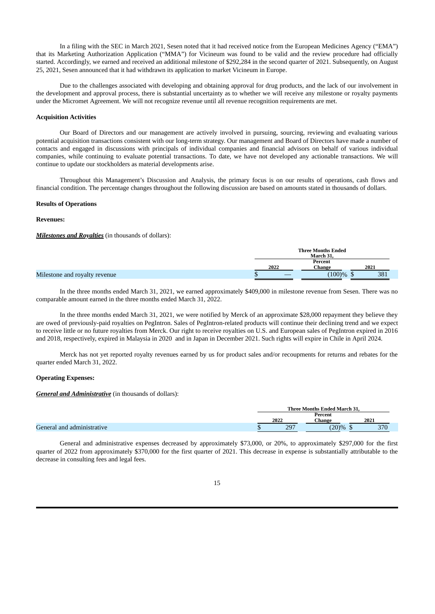In a filing with the SEC in March 2021, Sesen noted that it had received notice from the European Medicines Agency ("EMA") that its Marketing Authorization Application ("MMA") for Vicineum was found to be valid and the review procedure had officially started. Accordingly, we earned and received an additional milestone of \$292,284 in the second quarter of 2021. Subsequently, on August 25, 2021, Sesen announced that it had withdrawn its application to market Vicineum in Europe.

Due to the challenges associated with developing and obtaining approval for drug products, and the lack of our involvement in the development and approval process, there is substantial uncertainty as to whether we will receive any milestone or royalty payments under the Micromet Agreement. We will not recognize revenue until all revenue recognition requirements are met.

### **Acquisition Activities**

Our Board of Directors and our management are actively involved in pursuing, sourcing, reviewing and evaluating various potential acquisition transactions consistent with our long-term strategy. Our management and Board of Directors have made a number of contacts and engaged in discussions with principals of individual companies and financial advisors on behalf of various individual companies, while continuing to evaluate potential transactions. To date, we have not developed any actionable transactions. We will continue to update our stockholders as material developments arise.

Throughout this Management's Discussion and Analysis, the primary focus is on our results of operations, cash flows and financial condition. The percentage changes throughout the following discussion are based on amounts stated in thousands of dollars.

### **Results of Operations**

### **Revenues:**

*Milestones and Royalties* (in thousands of dollars):

|                               |      | <b>Three Months Ended</b><br>March 31. |      |
|-------------------------------|------|----------------------------------------|------|
|                               | 2022 | Percent<br>Change                      | 2021 |
| Milestone and royalty revenue |      | $(100)\%$ \$                           | 381  |

In the three months ended March 31, 2021, we earned approximately \$409,000 in milestone revenue from Sesen. There was no comparable amount earned in the three months ended March 31, 2022.

In the three months ended March 31, 2021, we were notified by Merck of an approximate \$28,000 repayment they believe they are owed of previously-paid royalties on PegIntron. Sales of PegIntron-related products will continue their declining trend and we expect to receive little or no future royalties from Merck. Our right to receive royalties on U.S. and European sales of PegIntron expired in 2016 and 2018, respectively, expired in Malaysia in 2020 and in Japan in December 2021. Such rights will expire in Chile in April 2024.

Merck has not yet reported royalty revenues earned by us for product sales and/or recoupments for returns and rebates for the quarter ended March 31, 2022.

#### **Operating Expenses:**

*General and Administrative* (in thousands of dollars):

|                            |   | Three Months Ended March 31, |         |      |  |
|----------------------------|---|------------------------------|---------|------|--|
|                            |   |                              | Percent |      |  |
|                            |   | 2022                         | Change  | 2021 |  |
| General and administrative | Ψ | 207<br>. پ                   | (20)%   | 370  |  |

General and administrative expenses decreased by approximately \$73,000, or 20%, to approximately \$297,000 for the first quarter of 2022 from approximately \$370,000 for the first quarter of 2021. This decrease in expense is substantially attributable to the decrease in consulting fees and legal fees.

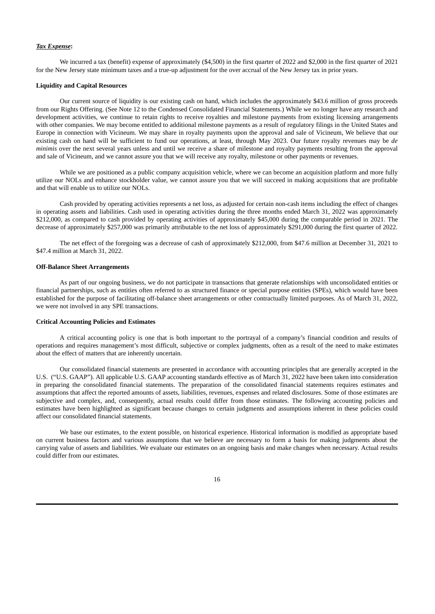#### *Tax Expense***:**

We incurred a tax (benefit) expense of approximately (\$4,500) in the first quarter of 2022 and \$2,000 in the first quarter of 2021 for the New Jersey state minimum taxes and a true-up adjustment for the over accrual of the New Jersey tax in prior years.

#### **Liquidity and Capital Resources**

Our current source of liquidity is our existing cash on hand, which includes the approximately \$43.6 million of gross proceeds from our Rights Offering. (See Note 12 to the Condensed Consolidated Financial Statements.) While we no longer have any research and development activities, we continue to retain rights to receive royalties and milestone payments from existing licensing arrangements with other companies. We may become entitled to additional milestone payments as a result of regulatory filings in the United States and Europe in connection with Vicineum. We may share in royalty payments upon the approval and sale of Vicineum, We believe that our existing cash on hand will be sufficient to fund our operations, at least, through May 2023. Our future royalty revenues may be *de minimis* over the next several years unless and until we receive a share of milestone and royalty payments resulting from the approval and sale of Vicineum, and we cannot assure you that we will receive any royalty, milestone or other payments or revenues.

While we are positioned as a public company acquisition vehicle, where we can become an acquisition platform and more fully utilize our NOLs and enhance stockholder value, we cannot assure you that we will succeed in making acquisitions that are profitable and that will enable us to utilize our NOLs.

Cash provided by operating activities represents a net loss, as adjusted for certain non-cash items including the effect of changes in operating assets and liabilities. Cash used in operating activities during the three months ended March 31, 2022 was approximately \$212,000, as compared to cash provided by operating activities of approximately \$45,000 during the comparable period in 2021. The decrease of approximately \$257,000 was primarily attributable to the net loss of approximately \$291,000 during the first quarter of 2022.

The net effect of the foregoing was a decrease of cash of approximately \$212,000, from \$47.6 million at December 31, 2021 to \$47.4 million at March 31, 2022.

#### **Off-Balance Sheet Arrangements**

As part of our ongoing business, we do not participate in transactions that generate relationships with unconsolidated entities or financial partnerships, such as entities often referred to as structured finance or special purpose entities (SPEs), which would have been established for the purpose of facilitating off-balance sheet arrangements or other contractually limited purposes. As of March 31, 2022, we were not involved in any SPE transactions.

#### **Critical Accounting Policies and Estimates**

A critical accounting policy is one that is both important to the portrayal of a company's financial condition and results of operations and requires management's most difficult, subjective or complex judgments, often as a result of the need to make estimates about the effect of matters that are inherently uncertain.

Our consolidated financial statements are presented in accordance with accounting principles that are generally accepted in the U.S. ("U.S. GAAP"). All applicable U.S. GAAP accounting standards effective as of March 31, 2022 have been taken into consideration in preparing the consolidated financial statements. The preparation of the consolidated financial statements requires estimates and assumptions that affect the reported amounts of assets, liabilities, revenues, expenses and related disclosures. Some of those estimates are subjective and complex, and, consequently, actual results could differ from those estimates. The following accounting policies and estimates have been highlighted as significant because changes to certain judgments and assumptions inherent in these policies could affect our consolidated financial statements.

We base our estimates, to the extent possible, on historical experience. Historical information is modified as appropriate based on current business factors and various assumptions that we believe are necessary to form a basis for making judgments about the carrying value of assets and liabilities. We evaluate our estimates on an ongoing basis and make changes when necessary. Actual results could differ from our estimates.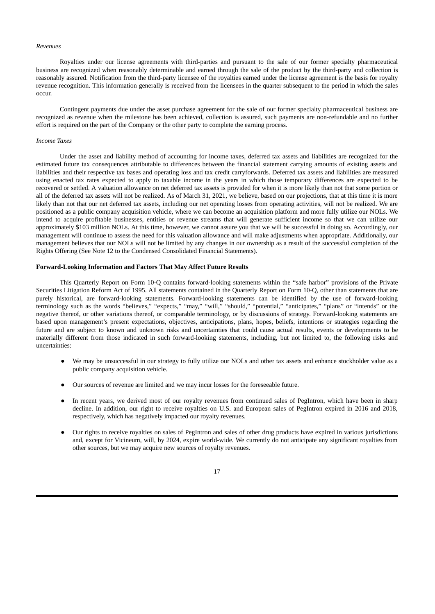#### *Revenues*

Royalties under our license agreements with third-parties and pursuant to the sale of our former specialty pharmaceutical business are recognized when reasonably determinable and earned through the sale of the product by the third-party and collection is reasonably assured. Notification from the third-party licensee of the royalties earned under the license agreement is the basis for royalty revenue recognition. This information generally is received from the licensees in the quarter subsequent to the period in which the sales occur.

Contingent payments due under the asset purchase agreement for the sale of our former specialty pharmaceutical business are recognized as revenue when the milestone has been achieved, collection is assured, such payments are non-refundable and no further effort is required on the part of the Company or the other party to complete the earning process.

#### *Income Taxes*

Under the asset and liability method of accounting for income taxes, deferred tax assets and liabilities are recognized for the estimated future tax consequences attributable to differences between the financial statement carrying amounts of existing assets and liabilities and their respective tax bases and operating loss and tax credit carryforwards. Deferred tax assets and liabilities are measured using enacted tax rates expected to apply to taxable income in the years in which those temporary differences are expected to be recovered or settled. A valuation allowance on net deferred tax assets is provided for when it is more likely than not that some portion or all of the deferred tax assets will not be realized. As of March 31, 2021, we believe, based on our projections, that at this time it is more likely than not that our net deferred tax assets, including our net operating losses from operating activities, will not be realized. We are positioned as a public company acquisition vehicle, where we can become an acquisition platform and more fully utilize our NOLs. We intend to acquire profitable businesses, entities or revenue streams that will generate sufficient income so that we can utilize our approximately \$103 million NOLs. At this time, however, we cannot assure you that we will be successful in doing so. Accordingly, our management will continue to assess the need for this valuation allowance and will make adjustments when appropriate. Additionally, our management believes that our NOLs will not be limited by any changes in our ownership as a result of the successful completion of the Rights Offering (See Note 12 to the Condensed Consolidated Financial Statements).

#### **Forward-Looking Information and Factors That May Affect Future Results**

This Quarterly Report on Form 10-Q contains forward-looking statements within the "safe harbor" provisions of the Private Securities Litigation Reform Act of 1995. All statements contained in the Quarterly Report on Form 10-Q, other than statements that are purely historical, are forward-looking statements. Forward-looking statements can be identified by the use of forward-looking terminology such as the words "believes," "expects," "may," "will," "should," "potential," "anticipates," "plans" or "intends" or the negative thereof, or other variations thereof, or comparable terminology, or by discussions of strategy. Forward-looking statements are based upon management's present expectations, objectives, anticipations, plans, hopes, beliefs, intentions or strategies regarding the future and are subject to known and unknown risks and uncertainties that could cause actual results, events or developments to be materially different from those indicated in such forward-looking statements, including, but not limited to, the following risks and uncertainties:

- We may be unsuccessful in our strategy to fully utilize our NOLs and other tax assets and enhance stockholder value as a public company acquisition vehicle.
- Our sources of revenue are limited and we may incur losses for the foreseeable future.
- In recent years, we derived most of our royalty revenues from continued sales of PegIntron, which have been in sharp decline. In addition, our right to receive royalties on U.S. and European sales of PegIntron expired in 2016 and 2018, respectively, which has negatively impacted our royalty revenues.
- Our rights to receive royalties on sales of PegIntron and sales of other drug products have expired in various jurisdictions and, except for Vicineum, will, by 2024, expire world-wide. We currently do not anticipate any significant royalties from other sources, but we may acquire new sources of royalty revenues.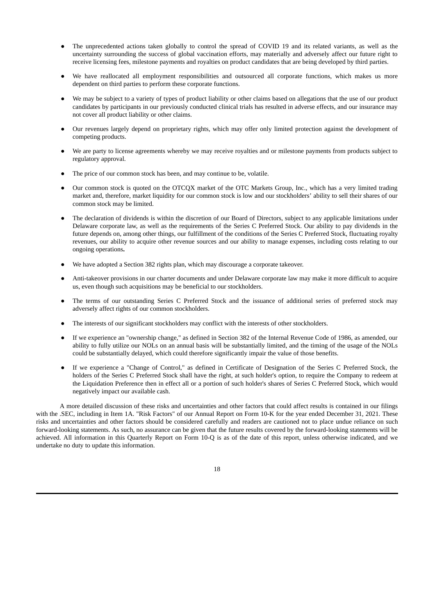- The unprecedented actions taken globally to control the spread of COVID 19 and its related variants, as well as the uncertainty surrounding the success of global vaccination efforts, may materially and adversely affect our future right to receive licensing fees, milestone payments and royalties on product candidates that are being developed by third parties.
- We have reallocated all employment responsibilities and outsourced all corporate functions, which makes us more dependent on third parties to perform these corporate functions.
- We may be subject to a variety of types of product liability or other claims based on allegations that the use of our product candidates by participants in our previously conducted clinical trials has resulted in adverse effects, and our insurance may not cover all product liability or other claims.
- Our revenues largely depend on proprietary rights, which may offer only limited protection against the development of competing products.
- We are party to license agreements whereby we may receive royalties and or milestone payments from products subject to regulatory approval.
- The price of our common stock has been, and may continue to be, volatile.
- Our common stock is quoted on the OTCQX market of the OTC Markets Group, Inc., which has a very limited trading market and, therefore, market liquidity for our common stock is low and our stockholders' ability to sell their shares of our common stock may be limited.
- The declaration of dividends is within the discretion of our Board of Directors, subject to any applicable limitations under Delaware corporate law, as well as the requirements of the Series C Preferred Stock. Our ability to pay dividends in the future depends on, among other things, our fulfillment of the conditions of the Series C Preferred Stock, fluctuating royalty revenues, our ability to acquire other revenue sources and our ability to manage expenses, including costs relating to our ongoing operations**.**
- We have adopted a Section 382 rights plan, which may discourage a corporate takeover.
- Anti-takeover provisions in our charter documents and under Delaware corporate law may make it more difficult to acquire us, even though such acquisitions may be beneficial to our stockholders.
- The terms of our outstanding Series C Preferred Stock and the issuance of additional series of preferred stock may adversely affect rights of our common stockholders.
- The interests of our significant stockholders may conflict with the interests of other stockholders.
- If we experience an "ownership change," as defined in Section 382 of the Internal Revenue Code of 1986, as amended, our ability to fully utilize our NOLs on an annual basis will be substantially limited, and the timing of the usage of the NOLs could be substantially delayed, which could therefore significantly impair the value of those benefits.
- If we experience a "Change of Control," as defined in Certificate of Designation of the Series C Preferred Stock, the holders of the Series C Preferred Stock shall have the right, at such holder's option, to require the Company to redeem at the Liquidation Preference then in effect all or a portion of such holder's shares of Series C Preferred Stock, which would negatively impact our available cash.

A more detailed discussion of these risks and uncertainties and other factors that could affect results is contained in our filings with the .SEC, including in Item 1A. "Risk Factors" of our Annual Report on Form 10-K for the year ended December 31, 2021. These risks and uncertainties and other factors should be considered carefully and readers are cautioned not to place undue reliance on such forward-looking statements. As such, no assurance can be given that the future results covered by the forward-looking statements will be achieved. All information in this Quarterly Report on Form 10-Q is as of the date of this report, unless otherwise indicated, and we undertake no duty to update this information.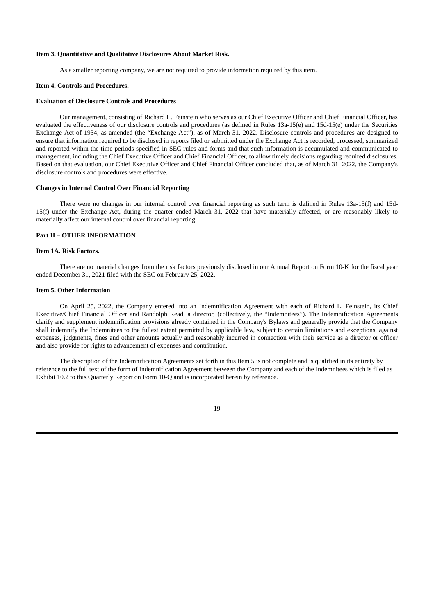### **Item 3. Quantitative and Qualitative Disclosures About Market Risk.**

As a smaller reporting company, we are not required to provide information required by this item.

#### **Item 4. Controls and Procedures.**

#### **Evaluation of Disclosure Controls and Procedures**

Our management, consisting of Richard L. Feinstein who serves as our Chief Executive Officer and Chief Financial Officer, has evaluated the effectiveness of our disclosure controls and procedures (as defined in Rules 13a-15(e) and 15d-15(e) under the Securities Exchange Act of 1934, as amended (the "Exchange Act"), as of March 31, 2022. Disclosure controls and procedures are designed to ensure that information required to be disclosed in reports filed or submitted under the Exchange Act is recorded, processed, summarized and reported within the time periods specified in SEC rules and forms and that such information is accumulated and communicated to management, including the Chief Executive Officer and Chief Financial Officer, to allow timely decisions regarding required disclosures. Based on that evaluation, our Chief Executive Officer and Chief Financial Officer concluded that, as of March 31, 2022, the Company's disclosure controls and procedures were effective.

#### **Changes in Internal Control Over Financial Reporting**

There were no changes in our internal control over financial reporting as such term is defined in Rules 13a-15(f) and 15d-15(f) under the Exchange Act, during the quarter ended March 31, 2022 that have materially affected, or are reasonably likely to materially affect our internal control over financial reporting.

## **Part II – OTHER INFORMATION**

### **Item 1A. Risk Factors.**

There are no material changes from the risk factors previously disclosed in our Annual Report on Form 10-K for the fiscal year ended December 31, 2021 filed with the SEC on February 25, 2022.

#### **Item 5. Other Information**

On April 25, 2022, the Company entered into an Indemnification Agreement with each of Richard L. Feinstein, its Chief Executive/Chief Financial Officer and Randolph Read, a director, (collectively, the "Indemnitees"). The Indemnification Agreements clarify and supplement indemnification provisions already contained in the Company's Bylaws and generally provide that the Company shall indemnify the Indemnitees to the fullest extent permitted by applicable law, subject to certain limitations and exceptions, against expenses, judgments, fines and other amounts actually and reasonably incurred in connection with their service as a director or officer and also provide for rights to advancement of expenses and contribution.

The description of the Indemnification Agreements set forth in this Item 5 is not complete and is qualified in its entirety by reference to the full text of the form of Indemnification Agreement between the Company and each of the Indemnitees which is filed as Exhibit 10.2 to this Quarterly Report on Form 10-Q and is incorporated herein by reference.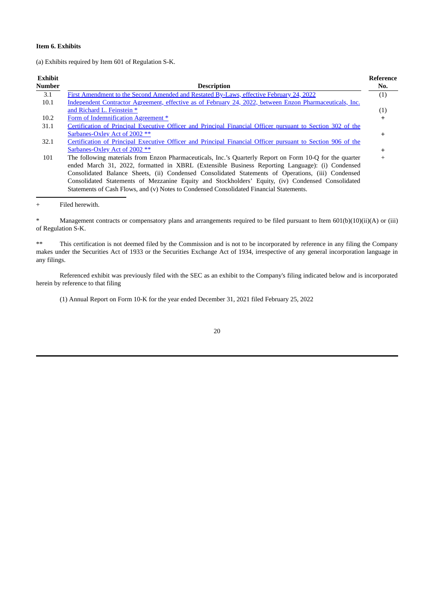## **Item 6. Exhibits**

(a) Exhibits required by Item 601 of Regulation S-K.

| <b>Exhibit</b> |                                                                                                             | Reference |
|----------------|-------------------------------------------------------------------------------------------------------------|-----------|
| <b>Number</b>  | <b>Description</b>                                                                                          | No.       |
| 3.1            | First Amendment to the Second Amended and Restated By-Laws, effective February 24, 2022                     | (1)       |
| 10.1           | Independent Contractor Agreement, effective as of February 24, 2022, between Enzon Pharmaceuticals, Inc.    |           |
|                | and Richard L. Feinstein *                                                                                  | (1)       |
| 10.2           | Form of Indemnification Agreement *                                                                         | ÷         |
| 31.1           | Certification of Principal Executive Officer and Principal Financial Officer pursuant to Section 302 of the |           |
|                | Sarbanes-Oxley Act of 2002 **                                                                               | $\ddot{}$ |
| 32.1           | Certification of Principal Executive Officer and Principal Financial Officer pursuant to Section 906 of the |           |
|                | Sarbanes-Oxley Act of 2002 **                                                                               |           |
| 101            | The following materials from Enzon Pharmaceuticals, Inc.'s Quarterly Report on Form 10-Q for the quarter    | $^{+}$    |
|                | ended March 31, 2022, formatted in XBRL (Extensible Business Reporting Language): (i) Condensed             |           |
|                | Consolidated Balance Sheets, (ii) Condensed Consolidated Statements of Operations, (iii) Condensed          |           |
|                | Consolidated Statements of Mezzanine Equity and Stockholders' Equity, (iv) Condensed Consolidated           |           |
|                | Statements of Cash Flows, and (v) Notes to Condensed Consolidated Financial Statements.                     |           |
|                |                                                                                                             |           |

+ Filed herewith.

\* Management contracts or compensatory plans and arrangements required to be filed pursuant to Item 601(b)(10)(ii)(A) or (iii) of Regulation S-K.

\*\* This certification is not deemed filed by the Commission and is not to be incorporated by reference in any filing the Company makes under the Securities Act of 1933 or the Securities Exchange Act of 1934, irrespective of any general incorporation language in any filings.

Referenced exhibit was previously filed with the SEC as an exhibit to the Company's filing indicated below and is incorporated herein by reference to that filing

(1) Annual Report on Form 10-K for the year ended December 31, 2021 filed February 25, 2022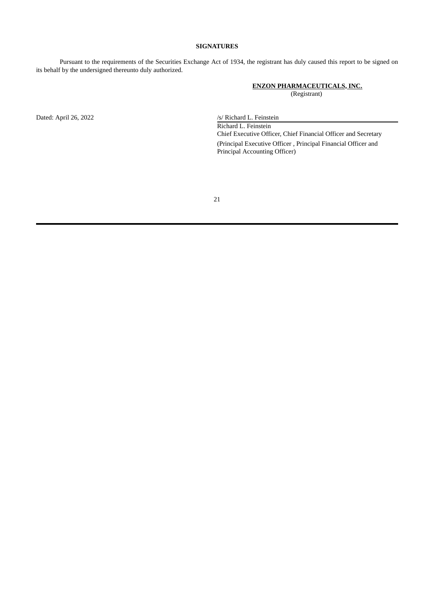## **SIGNATURES**

Pursuant to the requirements of the Securities Exchange Act of 1934, the registrant has duly caused this report to be signed on its behalf by the undersigned thereunto duly authorized.

## **ENZON PHARMACEUTICALS, INC.** (Registrant)

Dated: April 26, 2022 /s/ Richard L. Feinstein Richard L. Feinstein Chief Executive Officer, Chief Financial Officer and Secretary (Principal Executive Officer , Principal Financial Officer and Principal Accounting Officer)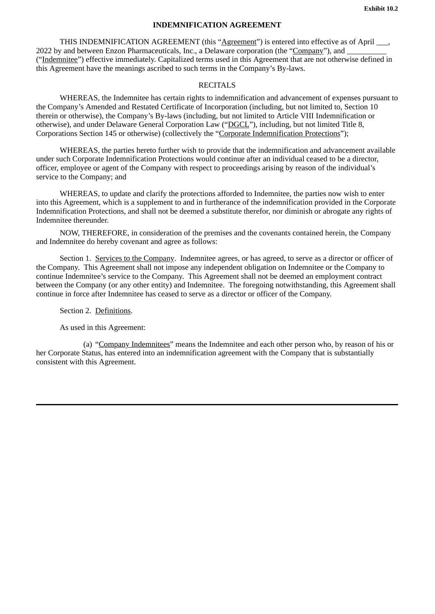# **INDEMNIFICATION AGREEMENT**

<span id="page-21-0"></span>THIS INDEMNIFICATION AGREEMENT (this "Agreement") is entered into effective as of April \_\_\_, 2022 by and between Enzon Pharmaceuticals, Inc., a Delaware corporation (the "Company"), and ("Indemnitee") effective immediately. Capitalized terms used in this Agreement that are not otherwise defined in this Agreement have the meanings ascribed to such terms in the Company's By-laws.

# **RECITALS**

WHEREAS, the Indemnitee has certain rights to indemnification and advancement of expenses pursuant to the Company's Amended and Restated Certificate of Incorporation (including, but not limited to, Section 10 therein or otherwise), the Company's By-laws (including, but not limited to Article VIII Indemnification or otherwise), and under Delaware General Corporation Law ("DGCL"), including, but not limited Title 8, Corporations Section 145 or otherwise) (collectively the "Corporate Indemnification Protections");

WHEREAS, the parties hereto further wish to provide that the indemnification and advancement available under such Corporate Indemnification Protections would continue after an individual ceased to be a director, officer, employee or agent of the Company with respect to proceedings arising by reason of the individual's service to the Company; and

WHEREAS, to update and clarify the protections afforded to Indemnitee, the parties now wish to enter into this Agreement, which is a supplement to and in furtherance of the indemnification provided in the Corporate Indemnification Protections, and shall not be deemed a substitute therefor, nor diminish or abrogate any rights of Indemnitee thereunder.

NOW, THEREFORE, in consideration of the premises and the covenants contained herein, the Company and Indemnitee do hereby covenant and agree as follows:

Section 1. Services to the Company. Indemnitee agrees, or has agreed, to serve as a director or officer of the Company. This Agreement shall not impose any independent obligation on Indemnitee or the Company to continue Indemnitee's service to the Company. This Agreement shall not be deemed an employment contract between the Company (or any other entity) and Indemnitee. The foregoing notwithstanding, this Agreement shall continue in force after Indemnitee has ceased to serve as a director or officer of the Company.

Section 2. Definitions.

As used in this Agreement:

(a) "Company Indemnitees" means the Indemnitee and each other person who, by reason of his or her Corporate Status, has entered into an indemnification agreement with the Company that is substantially consistent with this Agreement.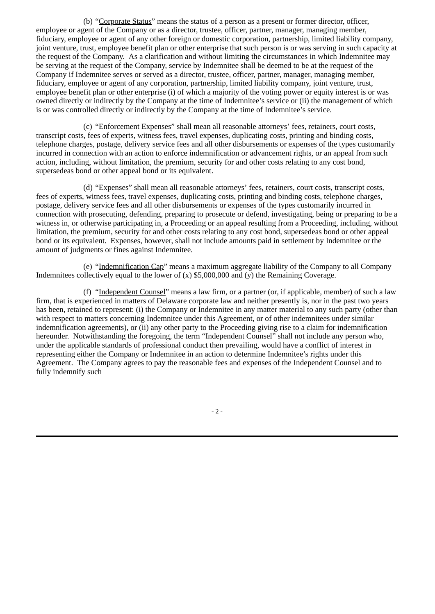(b) "Corporate Status" means the status of a person as a present or former director, officer, employee or agent of the Company or as a director, trustee, officer, partner, manager, managing member, fiduciary, employee or agent of any other foreign or domestic corporation, partnership, limited liability company, joint venture, trust, employee benefit plan or other enterprise that such person is or was serving in such capacity at the request of the Company. As a clarification and without limiting the circumstances in which Indemnitee may be serving at the request of the Company, service by Indemnitee shall be deemed to be at the request of the Company if Indemnitee serves or served as a director, trustee, officer, partner, manager, managing member, fiduciary, employee or agent of any corporation, partnership, limited liability company, joint venture, trust, employee benefit plan or other enterprise (i) of which a majority of the voting power or equity interest is or was owned directly or indirectly by the Company at the time of Indemnitee's service or (ii) the management of which is or was controlled directly or indirectly by the Company at the time of Indemnitee's service.

(c) "Enforcement Expenses" shall mean all reasonable attorneys' fees, retainers, court costs, transcript costs, fees of experts, witness fees, travel expenses, duplicating costs, printing and binding costs, telephone charges, postage, delivery service fees and all other disbursements or expenses of the types customarily incurred in connection with an action to enforce indemnification or advancement rights, or an appeal from such action, including, without limitation, the premium, security for and other costs relating to any cost bond, supersedeas bond or other appeal bond or its equivalent.

(d) "Expenses" shall mean all reasonable attorneys' fees, retainers, court costs, transcript costs, fees of experts, witness fees, travel expenses, duplicating costs, printing and binding costs, telephone charges, postage, delivery service fees and all other disbursements or expenses of the types customarily incurred in connection with prosecuting, defending, preparing to prosecute or defend, investigating, being or preparing to be a witness in, or otherwise participating in, a Proceeding or an appeal resulting from a Proceeding, including, without limitation, the premium, security for and other costs relating to any cost bond, supersedeas bond or other appeal bond or its equivalent. Expenses, however, shall not include amounts paid in settlement by Indemnitee or the amount of judgments or fines against Indemnitee.

(e) "Indemnification Cap" means a maximum aggregate liability of the Company to all Company Indemnitees collectively equal to the lower of (x) \$5,000,000 and (y) the Remaining Coverage.

(f) "Independent Counsel" means a law firm, or a partner (or, if applicable, member) of such a law firm, that is experienced in matters of Delaware corporate law and neither presently is, nor in the past two years has been, retained to represent: (i) the Company or Indemnitee in any matter material to any such party (other than with respect to matters concerning Indemnitee under this Agreement, or of other indemnitees under similar indemnification agreements), or (ii) any other party to the Proceeding giving rise to a claim for indemnification hereunder. Notwithstanding the foregoing, the term "Independent Counsel" shall not include any person who, under the applicable standards of professional conduct then prevailing, would have a conflict of interest in representing either the Company or Indemnitee in an action to determine Indemnitee's rights under this Agreement. The Company agrees to pay the reasonable fees and expenses of the Independent Counsel and to fully indemnify such

- 2 -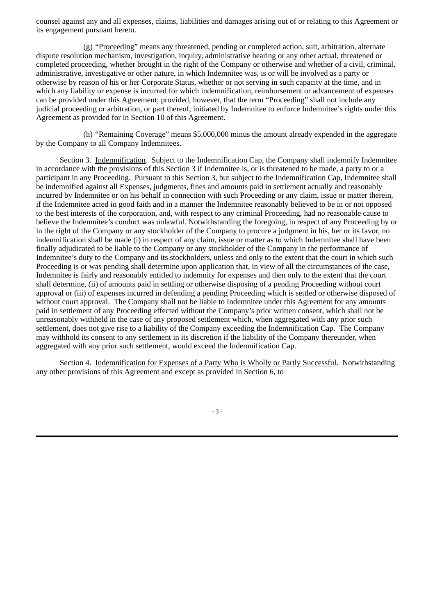counsel against any and all expenses, claims, liabilities and damages arising out of or relating to this Agreement or its engagement pursuant hereto.

(g) "Proceeding" means any threatened, pending or completed action, suit, arbitration, alternate dispute resolution mechanism, investigation, inquiry, administrative hearing or any other actual, threatened or completed proceeding, whether brought in the right of the Company or otherwise and whether of a civil, criminal, administrative, investigative or other nature, in which Indemnitee was, is or will be involved as a party or otherwise by reason of his or her Corporate Status, whether or not serving in such capacity at the time, and in which any liability or expense is incurred for which indemnification, reimbursement or advancement of expenses can be provided under this Agreement; provided, however, that the term "Proceeding" shall not include any judicial proceeding or arbitration, or part thereof, initiated by Indemnitee to enforce Indemnitee's rights under this Agreement as provided for in Section 10 of this Agreement.

(h) "Remaining Coverage" means \$5,000,000 minus the amount already expended in the aggregate by the Company to all Company Indemnitees.

Section 3. Indemnification. Subject to the Indemnification Cap, the Company shall indemnify Indemnitee in accordance with the provisions of this Section 3 if Indemnitee is, or is threatened to be made, a party to or a participant in any Proceeding. Pursuant to this Section 3, but subject to the Indemnification Cap, Indemnitee shall be indemnified against all Expenses, judgments, fines and amounts paid in settlement actually and reasonably incurred by Indemnitee or on his behalf in connection with such Proceeding or any claim, issue or matter therein, if the Indemnitee acted in good faith and in a manner the Indemnitee reasonably believed to be in or not opposed to the best interests of the corporation, and, with respect to any criminal Proceeding, had no reasonable cause to believe the Indemnitee's conduct was unlawful. Notwithstanding the foregoing, in respect of any Proceeding by or in the right of the Company or any stockholder of the Company to procure a judgment in his, her or its favor, no indemnification shall be made (i) in respect of any claim, issue or matter as to which Indemnitee shall have been finally adjudicated to be liable to the Company or any stockholder of the Company in the performance of Indemnitee's duty to the Company and its stockholders, unless and only to the extent that the court in which such Proceeding is or was pending shall determine upon application that, in view of all the circumstances of the case, Indemnitee is fairly and reasonably entitled to indemnity for expenses and then only to the extent that the court shall determine, (ii) of amounts paid in settling or otherwise disposing of a pending Proceeding without court approval or (iii) of expenses incurred in defending a pending Proceeding which is settled or otherwise disposed of without court approval. The Company shall not be liable to Indemnitee under this Agreement for any amounts paid in settlement of any Proceeding effected without the Company's prior written consent, which shall not be unreasonably withheld in the case of any proposed settlement which, when aggregated with any prior such settlement, does not give rise to a liability of the Company exceeding the Indemnification Cap. The Company may withhold its consent to any settlement in its discretion if the liability of the Company thereunder, when aggregated with any prior such settlement, would exceed the Indemnification Cap.

Section 4. Indemnification for Expenses of a Party Who is Wholly or Partly Successful. Notwithstanding any other provisions of this Agreement and except as provided in Section 6, to

- 3 -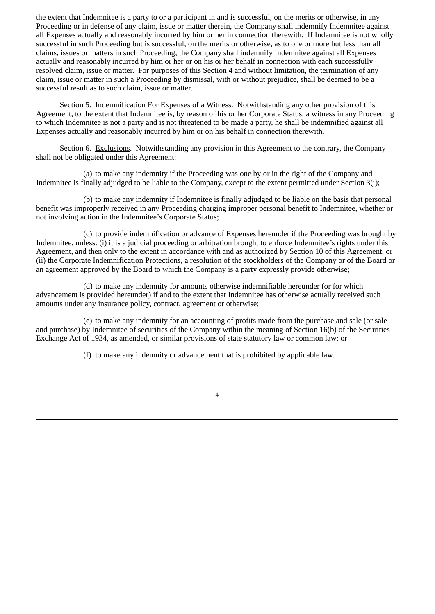the extent that Indemnitee is a party to or a participant in and is successful, on the merits or otherwise, in any Proceeding or in defense of any claim, issue or matter therein, the Company shall indemnify Indemnitee against all Expenses actually and reasonably incurred by him or her in connection therewith. If Indemnitee is not wholly successful in such Proceeding but is successful, on the merits or otherwise, as to one or more but less than all claims, issues or matters in such Proceeding, the Company shall indemnify Indemnitee against all Expenses actually and reasonably incurred by him or her or on his or her behalf in connection with each successfully resolved claim, issue or matter. For purposes of this Section 4 and without limitation, the termination of any claim, issue or matter in such a Proceeding by dismissal, with or without prejudice, shall be deemed to be a successful result as to such claim, issue or matter.

Section 5. Indemnification For Expenses of a Witness. Notwithstanding any other provision of this Agreement, to the extent that Indemnitee is, by reason of his or her Corporate Status, a witness in any Proceeding to which Indemnitee is not a party and is not threatened to be made a party, he shall be indemnified against all Expenses actually and reasonably incurred by him or on his behalf in connection therewith.

Section 6. Exclusions. Notwithstanding any provision in this Agreement to the contrary, the Company shall not be obligated under this Agreement:

(a) to make any indemnity if the Proceeding was one by or in the right of the Company and Indemnitee is finally adjudged to be liable to the Company, except to the extent permitted under Section 3(i);

(b) to make any indemnity if Indemnitee is finally adjudged to be liable on the basis that personal benefit was improperly received in any Proceeding charging improper personal benefit to Indemnitee, whether or not involving action in the Indemnitee's Corporate Status;

(c) to provide indemnification or advance of Expenses hereunder if the Proceeding was brought by Indemnitee, unless: (i) it is a judicial proceeding or arbitration brought to enforce Indemnitee's rights under this Agreement, and then only to the extent in accordance with and as authorized by Section 10 of this Agreement, or (ii) the Corporate Indemnification Protections, a resolution of the stockholders of the Company or of the Board or an agreement approved by the Board to which the Company is a party expressly provide otherwise;

(d) to make any indemnity for amounts otherwise indemnifiable hereunder (or for which advancement is provided hereunder) if and to the extent that Indemnitee has otherwise actually received such amounts under any insurance policy, contract, agreement or otherwise;

(e) to make any indemnity for an accounting of profits made from the purchase and sale (or sale and purchase) by Indemnitee of securities of the Company within the meaning of Section 16(b) of the Securities Exchange Act of 1934, as amended, or similar provisions of state statutory law or common law; or

(f) to make any indemnity or advancement that is prohibited by applicable law.

- 4 -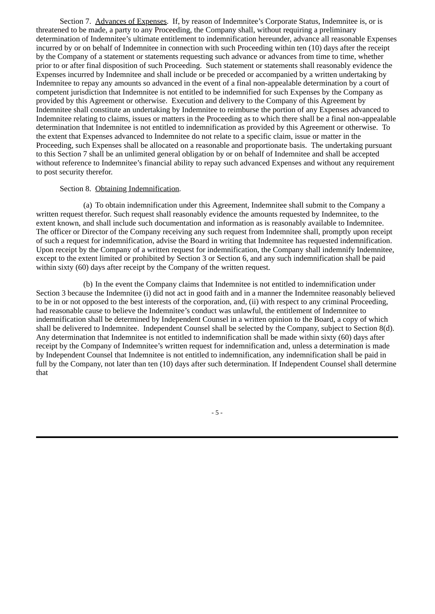Section 7. Advances of Expenses. If, by reason of Indemnitee's Corporate Status, Indemnitee is, or is threatened to be made, a party to any Proceeding, the Company shall, without requiring a preliminary determination of Indemnitee's ultimate entitlement to indemnification hereunder, advance all reasonable Expenses incurred by or on behalf of Indemnitee in connection with such Proceeding within ten (10) days after the receipt by the Company of a statement or statements requesting such advance or advances from time to time, whether prior to or after final disposition of such Proceeding. Such statement or statements shall reasonably evidence the Expenses incurred by Indemnitee and shall include or be preceded or accompanied by a written undertaking by Indemnitee to repay any amounts so advanced in the event of a final non-appealable determination by a court of competent jurisdiction that Indemnitee is not entitled to be indemnified for such Expenses by the Company as provided by this Agreement or otherwise. Execution and delivery to the Company of this Agreement by Indemnitee shall constitute an undertaking by Indemnitee to reimburse the portion of any Expenses advanced to Indemnitee relating to claims, issues or matters in the Proceeding as to which there shall be a final non-appealable determination that Indemnitee is not entitled to indemnification as provided by this Agreement or otherwise. To the extent that Expenses advanced to Indemnitee do not relate to a specific claim, issue or matter in the Proceeding, such Expenses shall be allocated on a reasonable and proportionate basis. The undertaking pursuant to this Section 7 shall be an unlimited general obligation by or on behalf of Indemnitee and shall be accepted without reference to Indemnitee's financial ability to repay such advanced Expenses and without any requirement to post security therefor.

# Section 8. Obtaining Indemnification.

(a) To obtain indemnification under this Agreement, Indemnitee shall submit to the Company a written request therefor. Such request shall reasonably evidence the amounts requested by Indemnitee, to the extent known, and shall include such documentation and information as is reasonably available to Indemnitee. The officer or Director of the Company receiving any such request from Indemnitee shall, promptly upon receipt of such a request for indemnification, advise the Board in writing that Indemnitee has requested indemnification. Upon receipt by the Company of a written request for indemnification, the Company shall indemnify Indemnitee, except to the extent limited or prohibited by Section 3 or Section 6, and any such indemnification shall be paid within sixty (60) days after receipt by the Company of the written request.

(b) In the event the Company claims that Indemnitee is not entitled to indemnification under Section 3 because the Indemnitee (i) did not act in good faith and in a manner the Indemnitee reasonably believed to be in or not opposed to the best interests of the corporation, and, (ii) with respect to any criminal Proceeding, had reasonable cause to believe the Indemnitee's conduct was unlawful, the entitlement of Indemnitee to indemnification shall be determined by Independent Counsel in a written opinion to the Board, a copy of which shall be delivered to Indemnitee. Independent Counsel shall be selected by the Company, subject to Section 8(d). Any determination that Indemnitee is not entitled to indemnification shall be made within sixty (60) days after receipt by the Company of Indemnitee's written request for indemnification and, unless a determination is made by Independent Counsel that Indemnitee is not entitled to indemnification, any indemnification shall be paid in full by the Company, not later than ten (10) days after such determination. If Independent Counsel shall determine that

- 5 -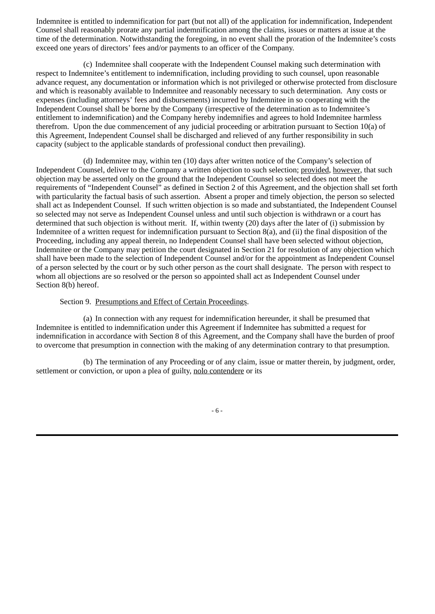Indemnitee is entitled to indemnification for part (but not all) of the application for indemnification, Independent Counsel shall reasonably prorate any partial indemnification among the claims, issues or matters at issue at the time of the determination. Notwithstanding the foregoing, in no event shall the proration of the Indemnitee's costs exceed one years of directors' fees and/or payments to an officer of the Company.

(c) Indemnitee shall cooperate with the Independent Counsel making such determination with respect to Indemnitee's entitlement to indemnification, including providing to such counsel, upon reasonable advance request, any documentation or information which is not privileged or otherwise protected from disclosure and which is reasonably available to Indemnitee and reasonably necessary to such determination. Any costs or expenses (including attorneys' fees and disbursements) incurred by Indemnitee in so cooperating with the Independent Counsel shall be borne by the Company (irrespective of the determination as to Indemnitee's entitlement to indemnification) and the Company hereby indemnifies and agrees to hold Indemnitee harmless therefrom. Upon the due commencement of any judicial proceeding or arbitration pursuant to Section 10(a) of this Agreement, Independent Counsel shall be discharged and relieved of any further responsibility in such capacity (subject to the applicable standards of professional conduct then prevailing).

(d) Indemnitee may, within ten (10) days after written notice of the Company's selection of Independent Counsel, deliver to the Company a written objection to such selection; provided, however, that such objection may be asserted only on the ground that the Independent Counsel so selected does not meet the requirements of "Independent Counsel" as defined in Section 2 of this Agreement, and the objection shall set forth with particularity the factual basis of such assertion. Absent a proper and timely objection, the person so selected shall act as Independent Counsel. If such written objection is so made and substantiated, the Independent Counsel so selected may not serve as Independent Counsel unless and until such objection is withdrawn or a court has determined that such objection is without merit. If, within twenty (20) days after the later of (i) submission by Indemnitee of a written request for indemnification pursuant to Section 8(a), and (ii) the final disposition of the Proceeding, including any appeal therein, no Independent Counsel shall have been selected without objection, Indemnitee or the Company may petition the court designated in Section 21 for resolution of any objection which shall have been made to the selection of Independent Counsel and/or for the appointment as Independent Counsel of a person selected by the court or by such other person as the court shall designate. The person with respect to whom all objections are so resolved or the person so appointed shall act as Independent Counsel under Section 8(b) hereof.

# Section 9. Presumptions and Effect of Certain Proceedings.

(a) In connection with any request for indemnification hereunder, it shall be presumed that Indemnitee is entitled to indemnification under this Agreement if Indemnitee has submitted a request for indemnification in accordance with Section 8 of this Agreement, and the Company shall have the burden of proof to overcome that presumption in connection with the making of any determination contrary to that presumption.

(b) The termination of any Proceeding or of any claim, issue or matter therein, by judgment, order, settlement or conviction, or upon a plea of guilty, nolo contendere or its

- 6 -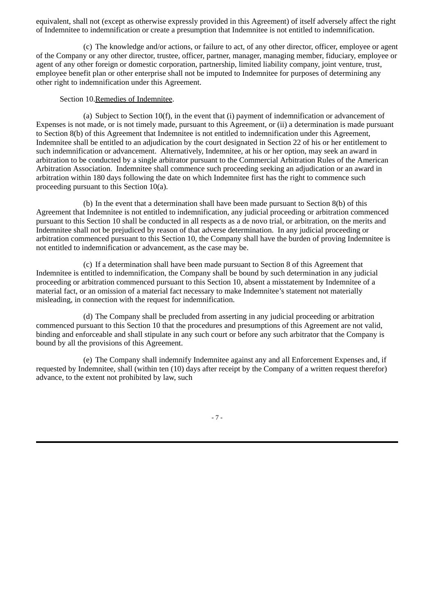equivalent, shall not (except as otherwise expressly provided in this Agreement) of itself adversely affect the right of Indemnitee to indemnification or create a presumption that Indemnitee is not entitled to indemnification.

(c) The knowledge and/or actions, or failure to act, of any other director, officer, employee or agent of the Company or any other director, trustee, officer, partner, manager, managing member, fiduciary, employee or agent of any other foreign or domestic corporation, partnership, limited liability company, joint venture, trust, employee benefit plan or other enterprise shall not be imputed to Indemnitee for purposes of determining any other right to indemnification under this Agreement.

Section 10.Remedies of Indemnitee.

(a) Subject to Section 10(f), in the event that (i) payment of indemnification or advancement of Expenses is not made, or is not timely made, pursuant to this Agreement, or (ii) a determination is made pursuant to Section 8(b) of this Agreement that Indemnitee is not entitled to indemnification under this Agreement, Indemnitee shall be entitled to an adjudication by the court designated in Section 22 of his or her entitlement to such indemnification or advancement. Alternatively, Indemnitee, at his or her option, may seek an award in arbitration to be conducted by a single arbitrator pursuant to the Commercial Arbitration Rules of the American Arbitration Association. Indemnitee shall commence such proceeding seeking an adjudication or an award in arbitration within 180 days following the date on which Indemnitee first has the right to commence such proceeding pursuant to this Section 10(a).

(b) In the event that a determination shall have been made pursuant to Section 8(b) of this Agreement that Indemnitee is not entitled to indemnification, any judicial proceeding or arbitration commenced pursuant to this Section 10 shall be conducted in all respects as a de novo trial, or arbitration, on the merits and Indemnitee shall not be prejudiced by reason of that adverse determination. In any judicial proceeding or arbitration commenced pursuant to this Section 10, the Company shall have the burden of proving Indemnitee is not entitled to indemnification or advancement, as the case may be.

(c) If a determination shall have been made pursuant to Section 8 of this Agreement that Indemnitee is entitled to indemnification, the Company shall be bound by such determination in any judicial proceeding or arbitration commenced pursuant to this Section 10, absent a misstatement by Indemnitee of a material fact, or an omission of a material fact necessary to make Indemnitee's statement not materially misleading, in connection with the request for indemnification.

(d) The Company shall be precluded from asserting in any judicial proceeding or arbitration commenced pursuant to this Section 10 that the procedures and presumptions of this Agreement are not valid, binding and enforceable and shall stipulate in any such court or before any such arbitrator that the Company is bound by all the provisions of this Agreement.

(e) The Company shall indemnify Indemnitee against any and all Enforcement Expenses and, if requested by Indemnitee, shall (within ten (10) days after receipt by the Company of a written request therefor) advance, to the extent not prohibited by law, such

- 7 -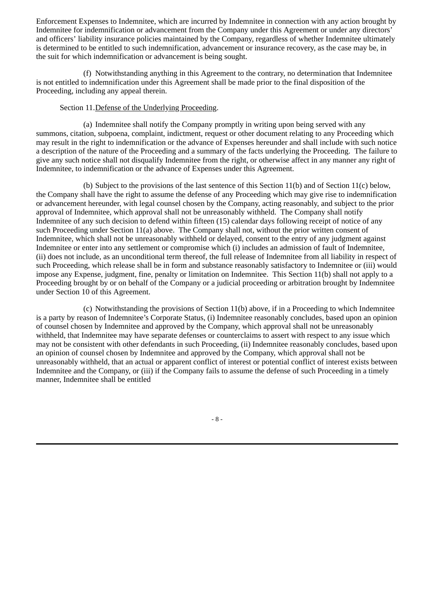Enforcement Expenses to Indemnitee, which are incurred by Indemnitee in connection with any action brought by Indemnitee for indemnification or advancement from the Company under this Agreement or under any directors' and officers' liability insurance policies maintained by the Company, regardless of whether Indemnitee ultimately is determined to be entitled to such indemnification, advancement or insurance recovery, as the case may be, in the suit for which indemnification or advancement is being sought.

(f) Notwithstanding anything in this Agreement to the contrary, no determination that Indemnitee is not entitled to indemnification under this Agreement shall be made prior to the final disposition of the Proceeding, including any appeal therein.

# Section 11.Defense of the Underlying Proceeding.

(a) Indemnitee shall notify the Company promptly in writing upon being served with any summons, citation, subpoena, complaint, indictment, request or other document relating to any Proceeding which may result in the right to indemnification or the advance of Expenses hereunder and shall include with such notice a description of the nature of the Proceeding and a summary of the facts underlying the Proceeding. The failure to give any such notice shall not disqualify Indemnitee from the right, or otherwise affect in any manner any right of Indemnitee, to indemnification or the advance of Expenses under this Agreement.

(b) Subject to the provisions of the last sentence of this Section 11(b) and of Section 11(c) below, the Company shall have the right to assume the defense of any Proceeding which may give rise to indemnification or advancement hereunder, with legal counsel chosen by the Company, acting reasonably, and subject to the prior approval of Indemnitee, which approval shall not be unreasonably withheld. The Company shall notify Indemnitee of any such decision to defend within fifteen (15) calendar days following receipt of notice of any such Proceeding under Section 11(a) above. The Company shall not, without the prior written consent of Indemnitee, which shall not be unreasonably withheld or delayed, consent to the entry of any judgment against Indemnitee or enter into any settlement or compromise which (i) includes an admission of fault of Indemnitee, (ii) does not include, as an unconditional term thereof, the full release of Indemnitee from all liability in respect of such Proceeding, which release shall be in form and substance reasonably satisfactory to Indemnitee or (iii) would impose any Expense, judgment, fine, penalty or limitation on Indemnitee. This Section 11(b) shall not apply to a Proceeding brought by or on behalf of the Company or a judicial proceeding or arbitration brought by Indemnitee under Section 10 of this Agreement.

(c) Notwithstanding the provisions of Section 11(b) above, if in a Proceeding to which Indemnitee is a party by reason of Indemnitee's Corporate Status, (i) Indemnitee reasonably concludes, based upon an opinion of counsel chosen by Indemnitee and approved by the Company, which approval shall not be unreasonably withheld, that Indemnitee may have separate defenses or counterclaims to assert with respect to any issue which may not be consistent with other defendants in such Proceeding, (ii) Indemnitee reasonably concludes, based upon an opinion of counsel chosen by Indemnitee and approved by the Company, which approval shall not be unreasonably withheld, that an actual or apparent conflict of interest or potential conflict of interest exists between Indemnitee and the Company, or (iii) if the Company fails to assume the defense of such Proceeding in a timely manner, Indemnitee shall be entitled

- 8 -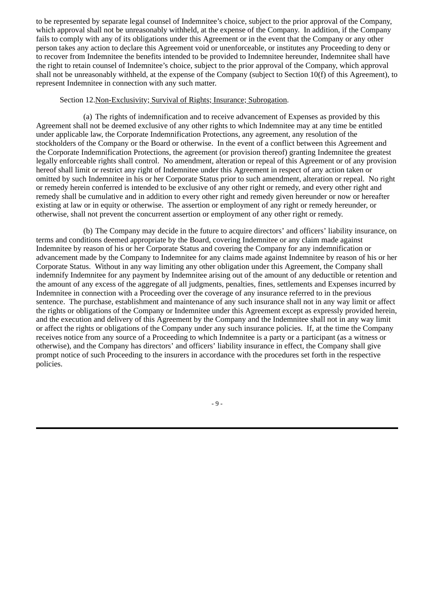to be represented by separate legal counsel of Indemnitee's choice, subject to the prior approval of the Company, which approval shall not be unreasonably withheld, at the expense of the Company. In addition, if the Company fails to comply with any of its obligations under this Agreement or in the event that the Company or any other person takes any action to declare this Agreement void or unenforceable, or institutes any Proceeding to deny or to recover from Indemnitee the benefits intended to be provided to Indemnitee hereunder, Indemnitee shall have the right to retain counsel of Indemnitee's choice, subject to the prior approval of the Company, which approval shall not be unreasonably withheld, at the expense of the Company (subject to Section 10(f) of this Agreement), to represent Indemnitee in connection with any such matter.

# Section 12.Non-Exclusivity; Survival of Rights; Insurance; Subrogation.

(a) The rights of indemnification and to receive advancement of Expenses as provided by this Agreement shall not be deemed exclusive of any other rights to which Indemnitee may at any time be entitled under applicable law, the Corporate Indemnification Protections, any agreement, any resolution of the stockholders of the Company or the Board or otherwise. In the event of a conflict between this Agreement and the Corporate Indemnification Protections, the agreement (or provision thereof) granting Indemnitee the greatest legally enforceable rights shall control. No amendment, alteration or repeal of this Agreement or of any provision hereof shall limit or restrict any right of Indemnitee under this Agreement in respect of any action taken or omitted by such Indemnitee in his or her Corporate Status prior to such amendment, alteration or repeal. No right or remedy herein conferred is intended to be exclusive of any other right or remedy, and every other right and remedy shall be cumulative and in addition to every other right and remedy given hereunder or now or hereafter existing at law or in equity or otherwise. The assertion or employment of any right or remedy hereunder, or otherwise, shall not prevent the concurrent assertion or employment of any other right or remedy.

(b) The Company may decide in the future to acquire directors' and officers' liability insurance, on terms and conditions deemed appropriate by the Board, covering Indemnitee or any claim made against Indemnitee by reason of his or her Corporate Status and covering the Company for any indemnification or advancement made by the Company to Indemnitee for any claims made against Indemnitee by reason of his or her Corporate Status. Without in any way limiting any other obligation under this Agreement, the Company shall indemnify Indemnitee for any payment by Indemnitee arising out of the amount of any deductible or retention and the amount of any excess of the aggregate of all judgments, penalties, fines, settlements and Expenses incurred by Indemnitee in connection with a Proceeding over the coverage of any insurance referred to in the previous sentence. The purchase, establishment and maintenance of any such insurance shall not in any way limit or affect the rights or obligations of the Company or Indemnitee under this Agreement except as expressly provided herein, and the execution and delivery of this Agreement by the Company and the Indemnitee shall not in any way limit or affect the rights or obligations of the Company under any such insurance policies. If, at the time the Company receives notice from any source of a Proceeding to which Indemnitee is a party or a participant (as a witness or otherwise), and the Company has directors' and officers' liability insurance in effect, the Company shall give prompt notice of such Proceeding to the insurers in accordance with the procedures set forth in the respective policies.

- 9 -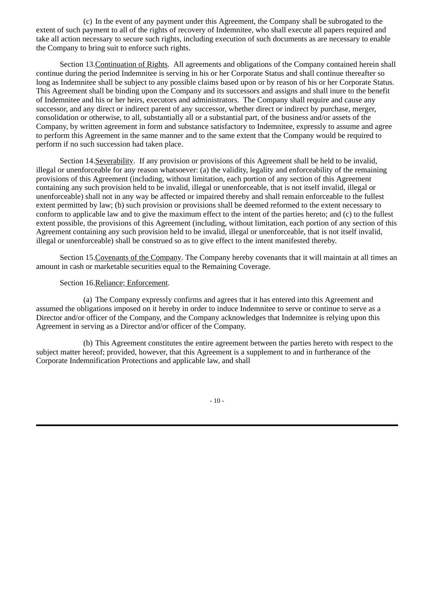(c) In the event of any payment under this Agreement, the Company shall be subrogated to the extent of such payment to all of the rights of recovery of Indemnitee, who shall execute all papers required and take all action necessary to secure such rights, including execution of such documents as are necessary to enable the Company to bring suit to enforce such rights.

Section 13.Continuation of Rights. All agreements and obligations of the Company contained herein shall continue during the period Indemnitee is serving in his or her Corporate Status and shall continue thereafter so long as Indemnitee shall be subject to any possible claims based upon or by reason of his or her Corporate Status. This Agreement shall be binding upon the Company and its successors and assigns and shall inure to the benefit of Indemnitee and his or her heirs, executors and administrators. The Company shall require and cause any successor, and any direct or indirect parent of any successor, whether direct or indirect by purchase, merger, consolidation or otherwise, to all, substantially all or a substantial part, of the business and/or assets of the Company, by written agreement in form and substance satisfactory to Indemnitee, expressly to assume and agree to perform this Agreement in the same manner and to the same extent that the Company would be required to perform if no such succession had taken place.

Section 14.Severability. If any provision or provisions of this Agreement shall be held to be invalid, illegal or unenforceable for any reason whatsoever: (a) the validity, legality and enforceability of the remaining provisions of this Agreement (including, without limitation, each portion of any section of this Agreement containing any such provision held to be invalid, illegal or unenforceable, that is not itself invalid, illegal or unenforceable) shall not in any way be affected or impaired thereby and shall remain enforceable to the fullest extent permitted by law; (b) such provision or provisions shall be deemed reformed to the extent necessary to conform to applicable law and to give the maximum effect to the intent of the parties hereto; and (c) to the fullest extent possible, the provisions of this Agreement (including, without limitation, each portion of any section of this Agreement containing any such provision held to be invalid, illegal or unenforceable, that is not itself invalid, illegal or unenforceable) shall be construed so as to give effect to the intent manifested thereby.

Section 15.Covenants of the Company. The Company hereby covenants that it will maintain at all times an amount in cash or marketable securities equal to the Remaining Coverage.

Section 16.Reliance; Enforcement.

(a) The Company expressly confirms and agrees that it has entered into this Agreement and assumed the obligations imposed on it hereby in order to induce Indemnitee to serve or continue to serve as a Director and/or officer of the Company, and the Company acknowledges that Indemnitee is relying upon this Agreement in serving as a Director and/or officer of the Company.

(b) This Agreement constitutes the entire agreement between the parties hereto with respect to the subject matter hereof; provided, however, that this Agreement is a supplement to and in furtherance of the Corporate Indemnification Protections and applicable law, and shall

- 10 -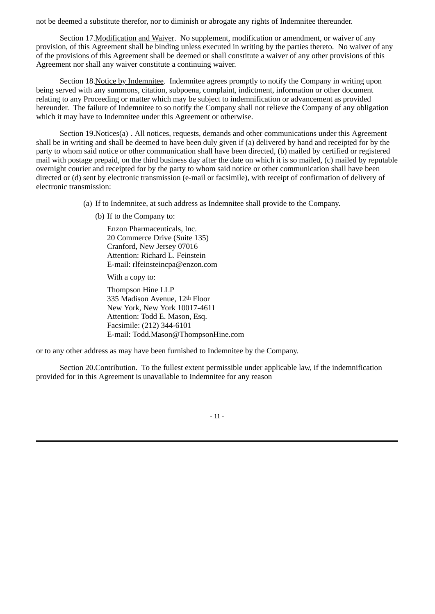not be deemed a substitute therefor, nor to diminish or abrogate any rights of Indemnitee thereunder.

Section 17.Modification and Waiver. No supplement, modification or amendment, or waiver of any provision, of this Agreement shall be binding unless executed in writing by the parties thereto. No waiver of any of the provisions of this Agreement shall be deemed or shall constitute a waiver of any other provisions of this Agreement nor shall any waiver constitute a continuing waiver.

Section 18. Notice by Indemnitee. Indemnitee agrees promptly to notify the Company in writing upon being served with any summons, citation, subpoena, complaint, indictment, information or other document relating to any Proceeding or matter which may be subject to indemnification or advancement as provided hereunder. The failure of Indemnitee to so notify the Company shall not relieve the Company of any obligation which it may have to Indemnitee under this Agreement or otherwise.

Section 19.Notices(a) . All notices, requests, demands and other communications under this Agreement shall be in writing and shall be deemed to have been duly given if (a) delivered by hand and receipted for by the party to whom said notice or other communication shall have been directed, (b) mailed by certified or registered mail with postage prepaid, on the third business day after the date on which it is so mailed, (c) mailed by reputable overnight courier and receipted for by the party to whom said notice or other communication shall have been directed or (d) sent by electronic transmission (e-mail or facsimile), with receipt of confirmation of delivery of electronic transmission:

(a) If to Indemnitee, at such address as Indemnitee shall provide to the Company.

(b) If to the Company to:

Enzon Pharmaceuticals, Inc. 20 Commerce Drive (Suite 135) Cranford, New Jersey 07016 Attention: Richard L. Feinstein E-mail: rlfeinsteincpa@enzon.com

With a copy to:

Thompson Hine LLP 335 Madison Avenue, 12th Floor New York, New York 10017-4611 Attention: Todd E. Mason, Esq. Facsimile: (212) 344-6101 E-mail: Todd.Mason@ThompsonHine.com

or to any other address as may have been furnished to Indemnitee by the Company.

Section 20.Contribution. To the fullest extent permissible under applicable law, if the indemnification provided for in this Agreement is unavailable to Indemnitee for any reason

- 11 -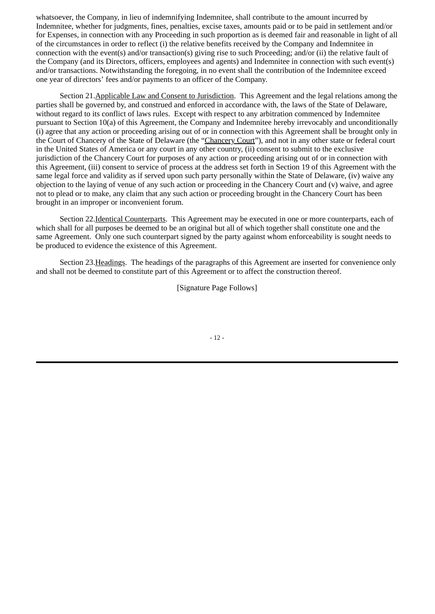whatsoever, the Company, in lieu of indemnifying Indemnitee, shall contribute to the amount incurred by Indemnitee, whether for judgments, fines, penalties, excise taxes, amounts paid or to be paid in settlement and/or for Expenses, in connection with any Proceeding in such proportion as is deemed fair and reasonable in light of all of the circumstances in order to reflect (i) the relative benefits received by the Company and Indemnitee in connection with the event(s) and/or transaction(s) giving rise to such Proceeding; and/or (ii) the relative fault of the Company (and its Directors, officers, employees and agents) and Indemnitee in connection with such event(s) and/or transactions. Notwithstanding the foregoing, in no event shall the contribution of the Indemnitee exceed one year of directors' fees and/or payments to an officer of the Company.

Section 21.Applicable Law and Consent to Jurisdiction. This Agreement and the legal relations among the parties shall be governed by, and construed and enforced in accordance with, the laws of the State of Delaware, without regard to its conflict of laws rules. Except with respect to any arbitration commenced by Indemnitee pursuant to Section 10(a) of this Agreement, the Company and Indemnitee hereby irrevocably and unconditionally (i) agree that any action or proceeding arising out of or in connection with this Agreement shall be brought only in the Court of Chancery of the State of Delaware (the "Chancery Court"), and not in any other state or federal court in the United States of America or any court in any other country, (ii) consent to submit to the exclusive jurisdiction of the Chancery Court for purposes of any action or proceeding arising out of or in connection with this Agreement, (iii) consent to service of process at the address set forth in Section 19 of this Agreement with the same legal force and validity as if served upon such party personally within the State of Delaware, (iv) waive any objection to the laying of venue of any such action or proceeding in the Chancery Court and (v) waive, and agree not to plead or to make, any claim that any such action or proceeding brought in the Chancery Court has been brought in an improper or inconvenient forum.

Section 22.Identical Counterparts. This Agreement may be executed in one or more counterparts, each of which shall for all purposes be deemed to be an original but all of which together shall constitute one and the same Agreement. Only one such counterpart signed by the party against whom enforceability is sought needs to be produced to evidence the existence of this Agreement.

Section 23.Headings. The headings of the paragraphs of this Agreement are inserted for convenience only and shall not be deemed to constitute part of this Agreement or to affect the construction thereof.

[Signature Page Follows]

- 12 -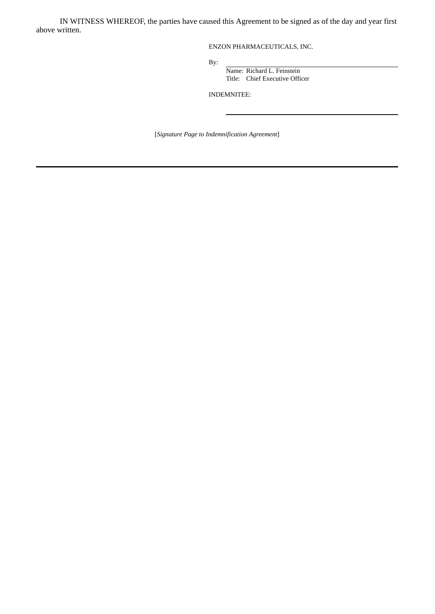IN WITNESS WHEREOF, the parties have caused this Agreement to be signed as of the day and year first above written.

ENZON PHARMACEUTICALS, INC.

By:

Name: Richard L. Feinstein Title: Chief Executive Officer

INDEMNITEE:

[*Signature Page to Indemnification Agreement*]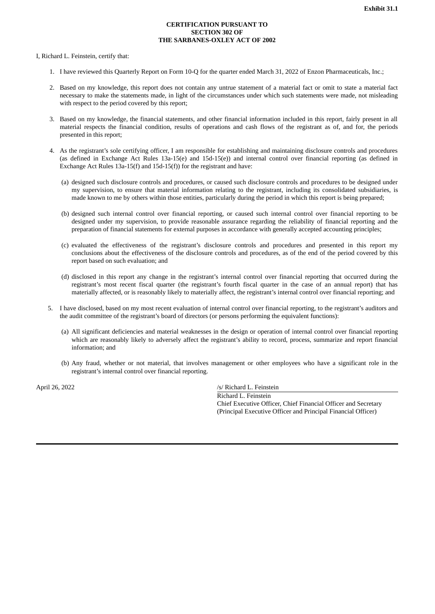### **CERTIFICATION PURSUANT TO SECTION 302 OF THE SARBANES-OXLEY ACT OF 2002**

<span id="page-34-0"></span>I, Richard L. Feinstein, certify that:

- 1. I have reviewed this Quarterly Report on Form 10-Q for the quarter ended March 31, 2022 of Enzon Pharmaceuticals, Inc.;
- 2. Based on my knowledge, this report does not contain any untrue statement of a material fact or omit to state a material fact necessary to make the statements made, in light of the circumstances under which such statements were made, not misleading with respect to the period covered by this report;
- 3. Based on my knowledge, the financial statements, and other financial information included in this report, fairly present in all material respects the financial condition, results of operations and cash flows of the registrant as of, and for, the periods presented in this report;
- 4. As the registrant's sole certifying officer, I am responsible for establishing and maintaining disclosure controls and procedures (as defined in Exchange Act Rules 13a-15(e) and 15d-15(e)) and internal control over financial reporting (as defined in Exchange Act Rules 13a-15(f) and 15d-15(f)) for the registrant and have:
	- (a) designed such disclosure controls and procedures, or caused such disclosure controls and procedures to be designed under my supervision, to ensure that material information relating to the registrant, including its consolidated subsidiaries, is made known to me by others within those entities, particularly during the period in which this report is being prepared;
	- (b) designed such internal control over financial reporting, or caused such internal control over financial reporting to be designed under my supervision, to provide reasonable assurance regarding the reliability of financial reporting and the preparation of financial statements for external purposes in accordance with generally accepted accounting principles;
	- (c) evaluated the effectiveness of the registrant's disclosure controls and procedures and presented in this report my conclusions about the effectiveness of the disclosure controls and procedures, as of the end of the period covered by this report based on such evaluation; and
	- (d) disclosed in this report any change in the registrant's internal control over financial reporting that occurred during the registrant's most recent fiscal quarter (the registrant's fourth fiscal quarter in the case of an annual report) that has materially affected, or is reasonably likely to materially affect, the registrant's internal control over financial reporting; and
- 5. I have disclosed, based on my most recent evaluation of internal control over financial reporting, to the registrant's auditors and the audit committee of the registrant's board of directors (or persons performing the equivalent functions):
	- (a) All significant deficiencies and material weaknesses in the design or operation of internal control over financial reporting which are reasonably likely to adversely affect the registrant's ability to record, process, summarize and report financial information; and
	- (b) Any fraud, whether or not material, that involves management or other employees who have a significant role in the registrant's internal control over financial reporting.

April 26, 2022 /s/ Richard L. Feinstein

Richard L. Feinstein Chief Executive Officer, Chief Financial Officer and Secretary (Principal Executive Officer and Principal Financial Officer)